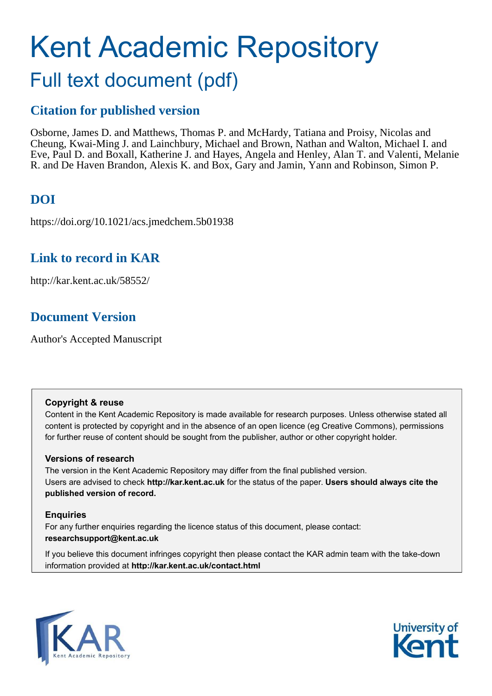## Kent Academic Repository Full text document (pdf)

## **Citation for published version**

Osborne, James D. and Matthews, Thomas P. and McHardy, Tatiana and Proisy, Nicolas and Cheung, Kwai-Ming J. and Lainchbury, Michael and Brown, Nathan and Walton, Michael I. and Eve, Paul D. and Boxall, Katherine J. and Hayes, Angela and Henley, Alan T. and Valenti, Melanie R. and De Haven Brandon, Alexis K. and Box, Gary and Jamin, Yann and Robinson, Simon P.

## **DOI**

https://doi.org/10.1021/acs.jmedchem.5b01938

### **Link to record in KAR**

http://kar.kent.ac.uk/58552/

## **Document Version**

Author's Accepted Manuscript

#### **Copyright & reuse**

Content in the Kent Academic Repository is made available for research purposes. Unless otherwise stated all content is protected by copyright and in the absence of an open licence (eg Creative Commons), permissions for further reuse of content should be sought from the publisher, author or other copyright holder.

#### **Versions of research**

The version in the Kent Academic Repository may differ from the final published version. Users are advised to check **http://kar.kent.ac.uk** for the status of the paper. **Users should always cite the published version of record.**

#### **Enquiries**

For any further enquiries regarding the licence status of this document, please contact: **researchsupport@kent.ac.uk**

If you believe this document infringes copyright then please contact the KAR admin team with the take-down information provided at **http://kar.kent.ac.uk/contact.html**



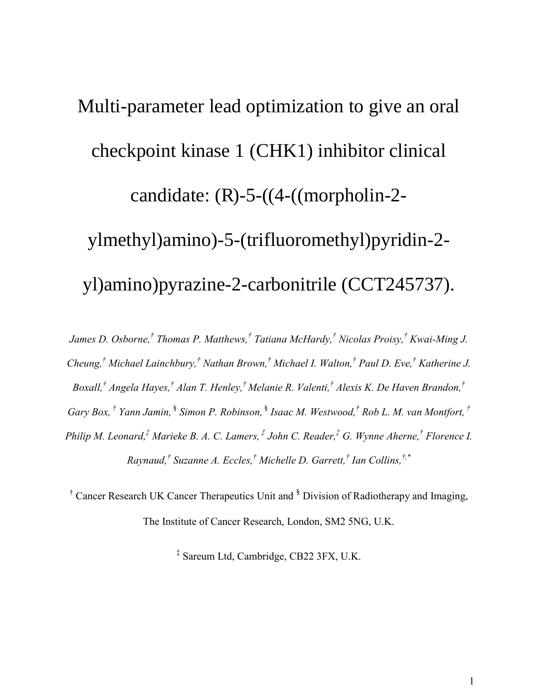# Multi-parameter lead optimization to give an oral checkpoint kinase 1 (CHK1) inhibitor clinical candidate: (R)-5-((4-((morpholin-2 ylmethyl)amino)-5-(trifluoromethyl)pyridin-2 yl)amino)pyrazine-2-carbonitrile (CCT245737).

*James D. Osborne,† Thomas P. Matthews,† Tatiana McHardy,† Nicolas Proisy,† Kwai-Ming J. Cheung,† Michael Lainchbury,† Nathan Brown,† Michael I. Walton,† Paul D. Eve,† Katherine J. Boxall,† Angela Hayes,† Alan T. Henley,† Melanie R. Valenti,† Alexis K. De Haven Brandon,† Gary Box, † Yann Jamin,* § *Simon P. Robinson,* § *Isaac M. Westwood,† Rob L. M. van Montfort, † Philip M. Leonard,‡ Marieke B. A. C. Lamers, ‡ John C. Reader,‡ G. Wynne Aherne,† Florence I. Raynaud,† Suzanne A. Eccles,† Michelle D. Garrett,† Ian Collins,†,\**

<sup>†</sup> Cancer Research UK Cancer Therapeutics Unit and <sup>§</sup> Division of Radiotherapy and Imaging, The Institute of Cancer Research, London, SM2 5NG, U.K.

‡ Sareum Ltd, Cambridge, CB22 3FX, U.K.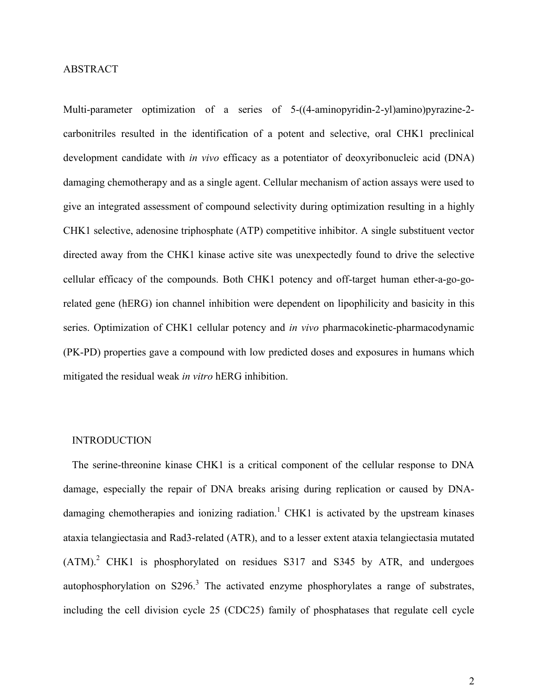#### ABSTRACT

Multi-parameter optimization of a series of 5-((4-aminopyridin-2-yl)amino)pyrazine-2 carbonitriles resulted in the identification of a potent and selective, oral CHK1 preclinical development candidate with *in vivo* efficacy as a potentiator of deoxyribonucleic acid (DNA) damaging chemotherapy and as a single agent. Cellular mechanism of action assays were used to give an integrated assessment of compound selectivity during optimization resulting in a highly CHK1 selective, adenosine triphosphate (ATP) competitive inhibitor. A single substituent vector directed away from the CHK1 kinase active site was unexpectedly found to drive the selective cellular efficacy of the compounds. Both CHK1 potency and off-target human ether-a-go-gorelated gene (hERG) ion channel inhibition were dependent on lipophilicity and basicity in this series. Optimization of CHK1 cellular potency and *in vivo* pharmacokinetic-pharmacodynamic (PK-PD) properties gave a compound with low predicted doses and exposures in humans which mitigated the residual weak *in vitro* hERG inhibition.

#### **INTRODUCTION**

The serine-threonine kinase CHK1 is a critical component of the cellular response to DNA damage, especially the repair of DNA breaks arising during replication or caused by DNAdamaging chemotherapies and ionizing radiation.<sup>1</sup> CHK1 is activated by the upstream kinases ataxia telangiectasia and Rad3-related (ATR), and to a lesser extent ataxia telangiectasia mutated  $(ATM)<sup>2</sup>$  CHK1 is phosphorylated on residues S317 and S345 by ATR, and undergoes autophosphorylation on  $S296$ <sup>3</sup>. The activated enzyme phosphorylates a range of substrates, including the cell division cycle 25 (CDC25) family of phosphatases that regulate cell cycle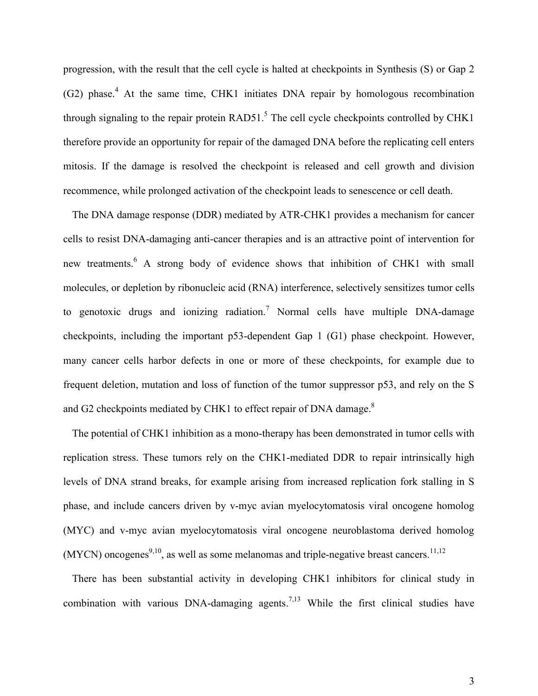progression, with the result that the cell cycle is halted at checkpoints in Synthesis (S) or Gap 2 (G2) phase.<sup>4</sup> At the same time, CHK1 initiates DNA repair by homologous recombination through signaling to the repair protein  $RAD51$ .<sup>5</sup> The cell cycle checkpoints controlled by CHK1 therefore provide an opportunity for repair of the damaged DNA before the replicating cell enters mitosis. If the damage is resolved the checkpoint is released and cell growth and division recommence, while prolonged activation of the checkpoint leads to senescence or cell death.

The DNA damage response (DDR) mediated by ATR-CHK1 provides a mechanism for cancer cells to resist DNA-damaging anti-cancer therapies and is an attractive point of intervention for new treatments.<sup>6</sup> A strong body of evidence shows that inhibition of CHK1 with small molecules, or depletion by ribonucleic acid (RNA) interference, selectively sensitizes tumor cells to genotoxic drugs and ionizing radiation.<sup>7</sup> Normal cells have multiple DNA-damage checkpoints, including the important p53-dependent Gap 1 (G1) phase checkpoint. However, many cancer cells harbor defects in one or more of these checkpoints, for example due to frequent deletion, mutation and loss of function of the tumor suppressor p53, and rely on the S and G2 checkpoints mediated by CHK1 to effect repair of DNA damage.<sup>8</sup>

The potential of CHK1 inhibition as a mono-therapy has been demonstrated in tumor cells with replication stress. These tumors rely on the CHK1-mediated DDR to repair intrinsically high levels of DNA strand breaks, for example arising from increased replication fork stalling in S phase, and include cancers driven by v-myc avian myelocytomatosis viral oncogene homolog (MYC) and v-myc avian myelocytomatosis viral oncogene neuroblastoma derived homolog  $(MYCN)$  oncogenes<sup>9,10</sup>, as well as some melanomas and triple-negative breast cancers.<sup>11,12</sup>

There has been substantial activity in developing CHK1 inhibitors for clinical study in combination with various DNA-damaging agents.<sup>7,13</sup> While the first clinical studies have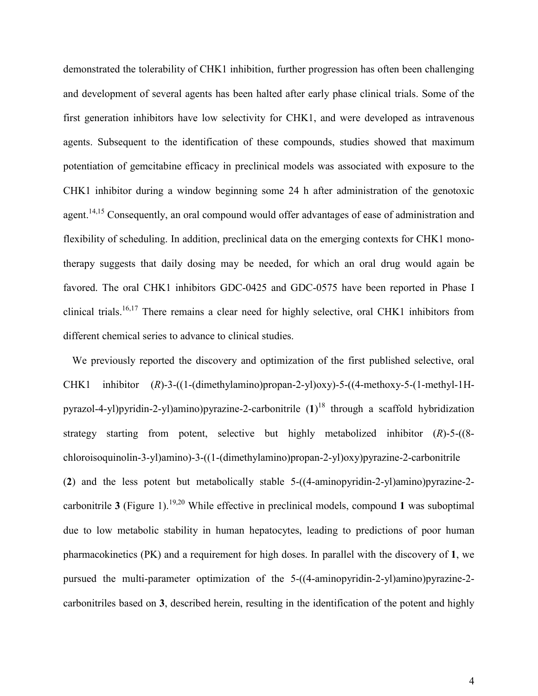demonstrated the tolerability of CHK1 inhibition, further progression has often been challenging and development of several agents has been halted after early phase clinical trials. Some of the first generation inhibitors have low selectivity for CHK1, and were developed as intravenous agents. Subsequent to the identification of these compounds, studies showed that maximum potentiation of gemcitabine efficacy in preclinical models was associated with exposure to the CHK1 inhibitor during a window beginning some 24 h after administration of the genotoxic agent.<sup>14,15</sup> Consequently, an oral compound would offer advantages of ease of administration and flexibility of scheduling. In addition, preclinical data on the emerging contexts for CHK1 monotherapy suggests that daily dosing may be needed, for which an oral drug would again be favored. The oral CHK1 inhibitors GDC-0425 and GDC-0575 have been reported in Phase I clinical trials.<sup>16,17</sup> There remains a clear need for highly selective, oral CHK1 inhibitors from different chemical series to advance to clinical studies.

We previously reported the discovery and optimization of the first published selective, oral CHK1 inhibitor (*R*)-3-((1-(dimethylamino)propan-2-yl)oxy)-5-((4-methoxy-5-(1-methyl-1Hpyrazol-4-yl)pyridin-2-yl)amino)pyrazine-2-carbonitrile (**1**) <sup>18</sup> through a scaffold hybridization strategy starting from potent, selective but highly metabolized inhibitor (*R*)-5-((8 chloroisoquinolin-3-yl)amino)-3-((1-(dimethylamino)propan-2-yl)oxy)pyrazine-2-carbonitrile (**2**) and the less potent but metabolically stable 5-((4-aminopyridin-2-yl)amino)pyrazine-2 carbonitrile  $3$  (Figure 1).<sup>19,20</sup> While effective in preclinical models, compound 1 was suboptimal due to low metabolic stability in human hepatocytes, leading to predictions of poor human pharmacokinetics (PK) and a requirement for high doses. In parallel with the discovery of **1**, we pursued the multi-parameter optimization of the 5-((4-aminopyridin-2-yl)amino)pyrazine-2 carbonitriles based on **3**, described herein, resulting in the identification of the potent and highly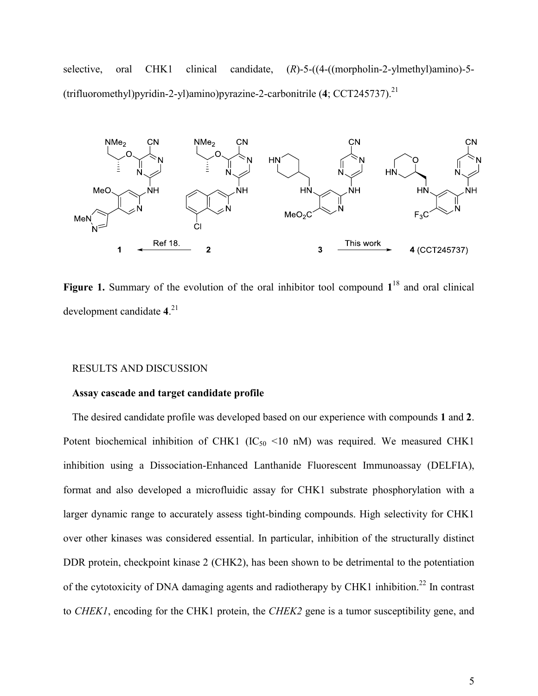selective, oral CHK1 clinical candidate, (*R*)-5-((4-((morpholin-2-ylmethyl)amino)-5- (trifluoromethyl)pyridin-2-yl)amino)pyrazine-2-carbonitrile (**4**; CCT245737).<sup>21</sup>



Figure 1. Summary of the evolution of the oral inhibitor tool compound  $1^{18}$  and oral clinical development candidate **4**. 21

#### RESULTS AND DISCUSSION

#### **Assay cascade and target candidate profile**

The desired candidate profile was developed based on our experience with compounds **1** and **2**. Potent biochemical inhibition of CHK1 (IC $_{50}$  <10 nM) was required. We measured CHK1 inhibition using a Dissociation-Enhanced Lanthanide Fluorescent Immunoassay (DELFIA), format and also developed a microfluidic assay for CHK1 substrate phosphorylation with a larger dynamic range to accurately assess tight-binding compounds. High selectivity for CHK1 over other kinases was considered essential. In particular, inhibition of the structurally distinct DDR protein, checkpoint kinase 2 (CHK2), has been shown to be detrimental to the potentiation of the cytotoxicity of DNA damaging agents and radiotherapy by CHK1 inhibition.<sup>22</sup> In contrast to *CHEK1*, encoding for the CHK1 protein, the *CHEK2* gene is a tumor susceptibility gene, and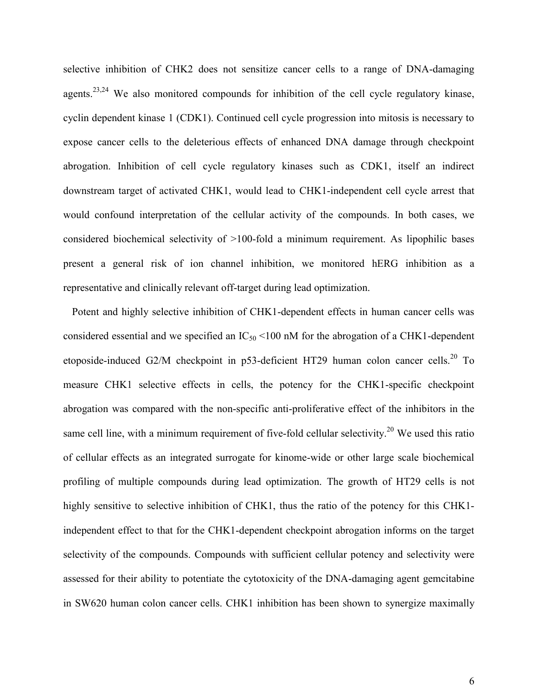selective inhibition of CHK2 does not sensitize cancer cells to a range of DNA-damaging agents.<sup>23,24</sup> We also monitored compounds for inhibition of the cell cycle regulatory kinase, cyclin dependent kinase 1 (CDK1). Continued cell cycle progression into mitosis is necessary to expose cancer cells to the deleterious effects of enhanced DNA damage through checkpoint abrogation. Inhibition of cell cycle regulatory kinases such as CDK1, itself an indirect downstream target of activated CHK1, would lead to CHK1-independent cell cycle arrest that would confound interpretation of the cellular activity of the compounds. In both cases, we considered biochemical selectivity of >100-fold a minimum requirement. As lipophilic bases present a general risk of ion channel inhibition, we monitored hERG inhibition as a representative and clinically relevant off-target during lead optimization.

Potent and highly selective inhibition of CHK1-dependent effects in human cancer cells was considered essential and we specified an  $IC_{50}$  <100 nM for the abrogation of a CHK1-dependent etoposide-induced G2/M checkpoint in p53-deficient HT29 human colon cancer cells.<sup>20</sup> To measure CHK1 selective effects in cells, the potency for the CHK1-specific checkpoint abrogation was compared with the non-specific anti-proliferative effect of the inhibitors in the same cell line, with a minimum requirement of five-fold cellular selectivity.<sup>20</sup> We used this ratio of cellular effects as an integrated surrogate for kinome-wide or other large scale biochemical profiling of multiple compounds during lead optimization. The growth of HT29 cells is not highly sensitive to selective inhibition of CHK1, thus the ratio of the potency for this CHK1independent effect to that for the CHK1-dependent checkpoint abrogation informs on the target selectivity of the compounds. Compounds with sufficient cellular potency and selectivity were assessed for their ability to potentiate the cytotoxicity of the DNA-damaging agent gemcitabine in SW620 human colon cancer cells. CHK1 inhibition has been shown to synergize maximally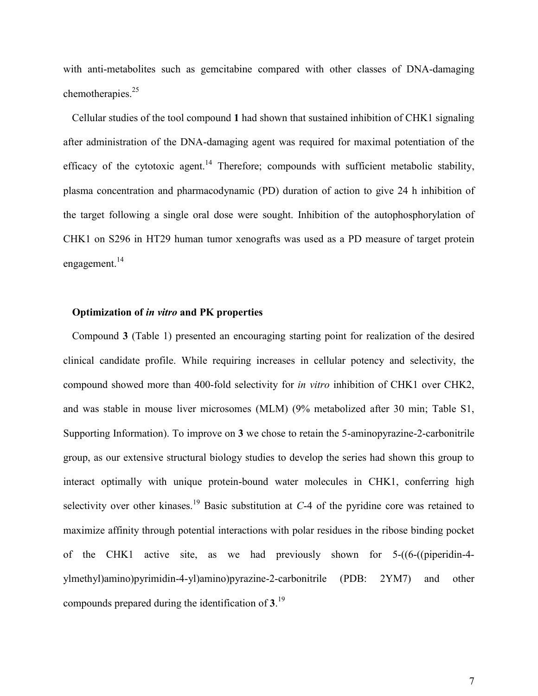with anti-metabolites such as gemeitabine compared with other classes of DNA-damaging chemotherapies.<sup>25</sup>

Cellular studies of the tool compound **1** had shown that sustained inhibition of CHK1 signaling after administration of the DNA-damaging agent was required for maximal potentiation of the efficacy of the cytotoxic agent.<sup>14</sup> Therefore; compounds with sufficient metabolic stability, plasma concentration and pharmacodynamic (PD) duration of action to give 24 h inhibition of the target following a single oral dose were sought. Inhibition of the autophosphorylation of CHK1 on S296 in HT29 human tumor xenografts was used as a PD measure of target protein engagement.<sup>14</sup>

#### **Optimization of** *in vitro* **and PK properties**

Compound **3** (Table 1) presented an encouraging starting point for realization of the desired clinical candidate profile. While requiring increases in cellular potency and selectivity, the compound showed more than 400-fold selectivity for *in vitro* inhibition of CHK1 over CHK2, and was stable in mouse liver microsomes (MLM) (9% metabolized after 30 min; Table S1, Supporting Information). To improve on **3** we chose to retain the 5-aminopyrazine-2-carbonitrile group, as our extensive structural biology studies to develop the series had shown this group to interact optimally with unique protein-bound water molecules in CHK1, conferring high selectivity over other kinases.<sup>19</sup> Basic substitution at  $C$ -4 of the pyridine core was retained to maximize affinity through potential interactions with polar residues in the ribose binding pocket of the CHK1 active site, as we had previously shown for 5-((6-((piperidin-4 ylmethyl)amino)pyrimidin-4-yl)amino)pyrazine-2-carbonitrile (PDB: 2YM7) and other compounds prepared during the identification of **3**. 19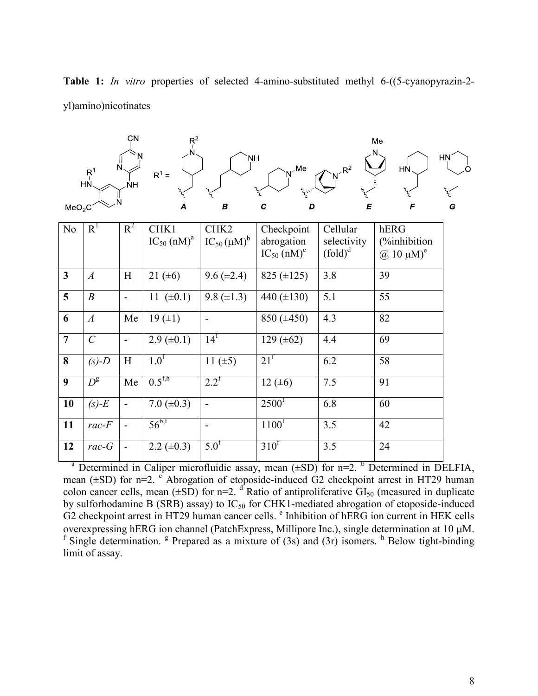| MeO <sub>2</sub> C | $R_1^1$<br>HŃ       | CN<br>NΗ                  | $R^2$<br>$R^1 =$<br>$\overline{A}$ | <b>NH</b><br>$\boldsymbol{B}$ | Me<br>C<br>D                              | $R^2$<br>E                | Me<br>HŃ<br>F                                      | <b>HN</b><br>O<br>G |
|--------------------|---------------------|---------------------------|------------------------------------|-------------------------------|-------------------------------------------|---------------------------|----------------------------------------------------|---------------------|
| No                 | R <sup>1</sup>      | $R^2$                     | CHK1                               | $\overline{\text{CHK2}}$      | Checkpoint                                | Cellular                  | hERG                                               |                     |
|                    |                     |                           | $IC_{50}$ (nM) <sup>a</sup>        | $IC_{50}(\mu M)^b$            | abrogation<br>$IC_{50}$ (nM) <sup>c</sup> | selectivity<br>$(fold)^d$ | (%inhibition)<br>$\omega$ 10 $\mu$ M) <sup>e</sup> |                     |
| $\mathbf{3}$       | $\boldsymbol{A}$    | H                         | 21 $(\pm 6)$                       | $9.6 (\pm 2.4)$               | 825 $(\pm 125)$                           | 3.8                       | 39                                                 |                     |
| 5                  | $\boldsymbol{B}$    |                           | 11 $(\pm 0.1)$                     | 9.8 $(\pm 1.3)$               | 440 $(\pm 130)$                           | 5.1                       | 55                                                 |                     |
| 6                  | $\boldsymbol{A}$    | Me                        | 19(±1)                             | $\blacksquare$                | $850 (\pm 450)$                           | 4.3                       | 82                                                 |                     |
| $\overline{7}$     | $\mathcal{C}$       |                           | $2.9 \ (\pm 0.1)$                  | $14^f$                        | 129 $(\pm 62)$                            | 4.4                       | 69                                                 |                     |
| 8                  | $(s)-D$             | $\boldsymbol{\mathrm{H}}$ | 1.0 <sup>f</sup>                   | 11 $(\pm 5)$                  | 21 <sup>f</sup>                           | 6.2                       | $\overline{58}$                                    |                     |
| 9                  | $D^{\rm g}$         | Me                        | $0.5^{\text{f,h}}$                 | $2.2^f$                       | 12 $(\pm 6)$                              | 7.5                       | 91                                                 |                     |
| 10                 | $(s)-E$             |                           | $7.0 (\pm 0.3)$                    | $\overline{\phantom{a}}$      | 2500 <sup>f</sup>                         | 6.8                       | 60                                                 |                     |
| 11                 | $rac{-F}{\sqrt{2}}$ | $\overline{\phantom{a}}$  | $56^{b,f}$                         | $\overline{\phantom{a}}$      | 1100 <sup>f</sup>                         | 3.5                       | 42                                                 |                     |
| 12                 | $rac-G$             | $\overline{a}$            | 2.2 $(\pm 0.3)$                    | 5.0 <sup>f</sup>              | $310^f$                                   | 3.5                       | 24                                                 |                     |

**Table 1:** *In vitro* properties of selected 4-amino-substituted methyl 6-((5-cyanopyrazin-2 yl)amino)nicotinates

<sup>a</sup> Determined in Caliper microfluidic assay, mean  $(\pm SD)$  for n=2. <sup>b</sup> Determined in DELFIA, mean  $(\pm SD)$  for n=2. <sup>c</sup> Abrogation of etoposide-induced G2 checkpoint arrest in HT29 human colon cancer cells, mean  $(\pm SD)$  for n=2. <sup>d</sup> Ratio of antiproliferative  $GI_{50}$  (measured in duplicate by sulforhodamine B (SRB) assay) to  $IC_{50}$  for CHK1-mediated abrogation of etoposide-induced G2 checkpoint arrest in HT29 human cancer cells. <sup>e</sup> Inhibition of hERG ion current in HEK cells overexpressing hERG ion channel (PatchExpress, Millipore Inc.), single determination at 10 µM. <sup>f</sup> Single determination. <sup>g</sup> Prepared as a mixture of (3s) and (3r) isomers. <sup>h</sup> Below tight-binding limit of assay.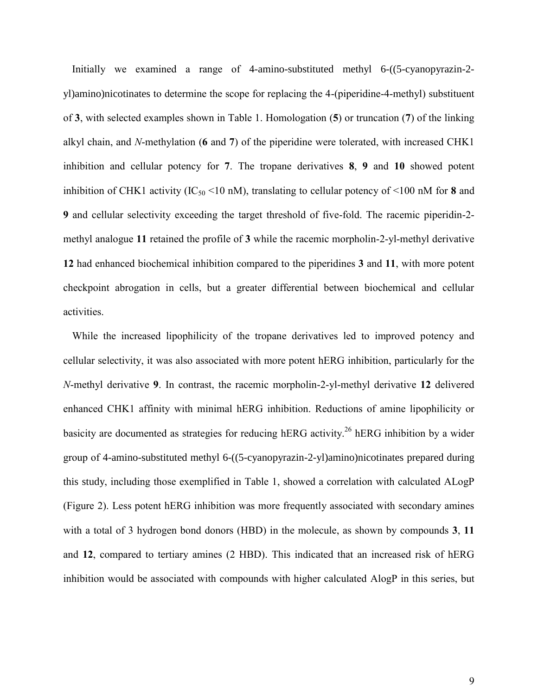Initially we examined a range of 4-amino-substituted methyl 6-((5-cyanopyrazin-2 yl)amino)nicotinates to determine the scope for replacing the 4-(piperidine-4-methyl) substituent of **3**, with selected examples shown in Table 1. Homologation (**5**) or truncation (**7**) of the linking alkyl chain, and *N*-methylation (**6** and **7**) of the piperidine were tolerated, with increased CHK1 inhibition and cellular potency for **7**. The tropane derivatives **8**, **9** and **10** showed potent inhibition of CHK1 activity (IC<sub>50</sub> <10 nM), translating to cellular potency of <100 nM for **8** and **9** and cellular selectivity exceeding the target threshold of five-fold. The racemic piperidin-2 methyl analogue **11** retained the profile of **3** while the racemic morpholin-2-yl-methyl derivative **12** had enhanced biochemical inhibition compared to the piperidines **3** and **11**, with more potent checkpoint abrogation in cells, but a greater differential between biochemical and cellular activities.

While the increased lipophilicity of the tropane derivatives led to improved potency and cellular selectivity, it was also associated with more potent hERG inhibition, particularly for the *N*-methyl derivative **9**. In contrast, the racemic morpholin-2-yl-methyl derivative **12** delivered enhanced CHK1 affinity with minimal hERG inhibition. Reductions of amine lipophilicity or basicity are documented as strategies for reducing hERG activity.<sup>26</sup> hERG inhibition by a wider group of 4-amino-substituted methyl 6-((5-cyanopyrazin-2-yl)amino)nicotinates prepared during this study, including those exemplified in Table 1, showed a correlation with calculated ALogP (Figure 2). Less potent hERG inhibition was more frequently associated with secondary amines with a total of 3 hydrogen bond donors (HBD) in the molecule, as shown by compounds **3**, **11** and **12**, compared to tertiary amines (2 HBD). This indicated that an increased risk of hERG inhibition would be associated with compounds with higher calculated AlogP in this series, but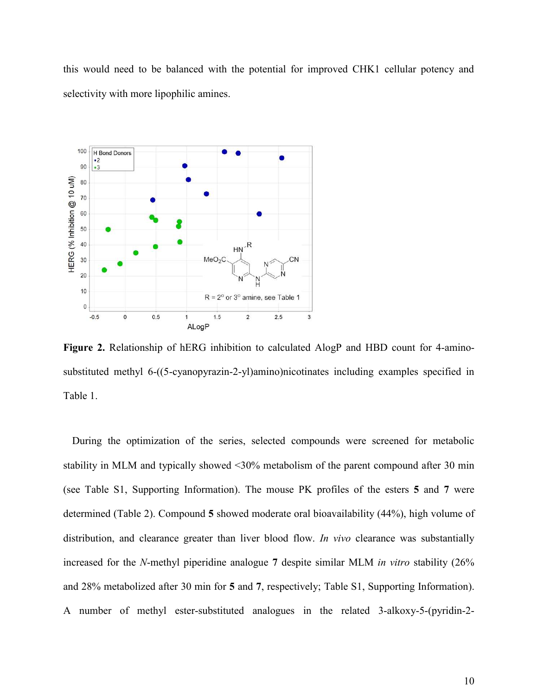this would need to be balanced with the potential for improved CHK1 cellular potency and selectivity with more lipophilic amines.



Figure 2. Relationship of hERG inhibition to calculated AlogP and HBD count for 4-aminosubstituted methyl 6-((5-cyanopyrazin-2-yl)amino)nicotinates including examples specified in Table 1.

During the optimization of the series, selected compounds were screened for metabolic stability in MLM and typically showed <30% metabolism of the parent compound after 30 min (see Table S1, Supporting Information). The mouse PK profiles of the esters **5** and **7** were determined (Table 2). Compound **5** showed moderate oral bioavailability (44%), high volume of distribution, and clearance greater than liver blood flow. *In vivo* clearance was substantially increased for the *N*-methyl piperidine analogue **7** despite similar MLM *in vitro* stability (26% and 28% metabolized after 30 min for **5** and **7**, respectively; Table S1, Supporting Information). A number of methyl ester-substituted analogues in the related 3-alkoxy-5-(pyridin-2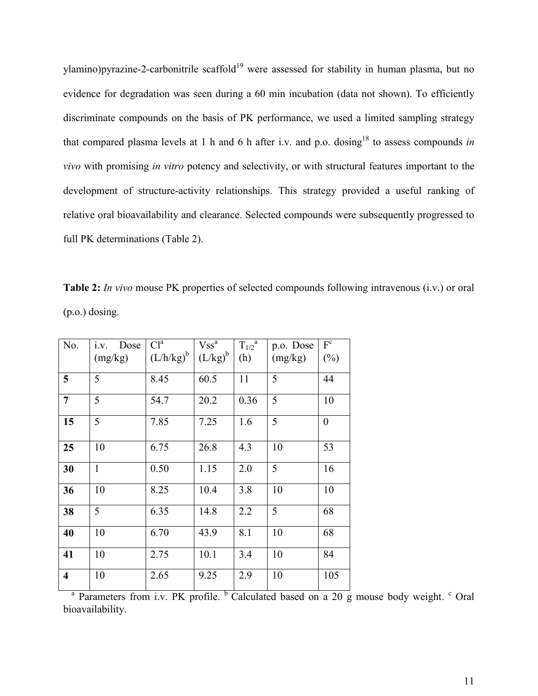ylamino)pyrazine-2-carbonitrile scaffold<sup>19</sup> were assessed for stability in human plasma, but no evidence for degradation was seen during a 60 min incubation (data not shown). To efficiently discriminate compounds on the basis of PK performance, we used a limited sampling strategy that compared plasma levels at 1 h and 6 h after i.v. and p.o. dosing<sup>18</sup> to assess compounds *in vivo* with promising *in vitro* potency and selectivity, or with structural features important to the development of structure-activity relationships. This strategy provided a useful ranking of relative oral bioavailability and clearance. Selected compounds were subsequently progressed to full PK determinations (Table 2).

**Table 2:** *In vivo* mouse PK properties of selected compounds following intravenous (i.v.) or oral (p.o.) dosing.

| No.                     | i.v. Dose    | Cl <sup>a</sup> | $Vss^a$      | $\overline{T_{1/2}}^a$ | p.o. Dose | $F^c$          |
|-------------------------|--------------|-----------------|--------------|------------------------|-----------|----------------|
|                         | (mg/kg)      | $(L/h/kg)^b$    | $(L/kg)^{b}$ | (h)                    | (mg/kg)   | $(\%)$         |
| 5                       | 5            | 8.45            | 60.5         | 11                     | 5         | 44             |
| $\overline{7}$          | 5            | 54.7            | 20.2         | 0.36                   | 5         | 10             |
| 15                      | 5            | 7.85            | 7.25         | 1.6                    | 5         | $\overline{0}$ |
| 25                      | 10           | 6.75            | 26.8         | 4.3                    | 10        | 53             |
| 30                      | $\mathbf{1}$ | 0.50            | 1.15         | 2.0                    | 5         | 16             |
| 36                      | 10           | 8.25            | 10.4         | 3.8                    | 10        | 10             |
| 38                      | 5            | 6.35            | 14.8         | 2.2                    | 5         | 68             |
| 40                      | 10           | 6.70            | 43.9         | 8.1                    | 10        | 68             |
| 41                      | 10           | 2.75            | 10.1         | 3.4                    | 10        | 84             |
| $\overline{\mathbf{4}}$ | 10           | 2.65            | 9.25         | 2.9                    | 10        | 105            |

<sup>a</sup> Parameters from i.v. PK profile. <sup>b</sup> Calculated based on a 20 g mouse body weight. <sup>c</sup> Oral bioavailability.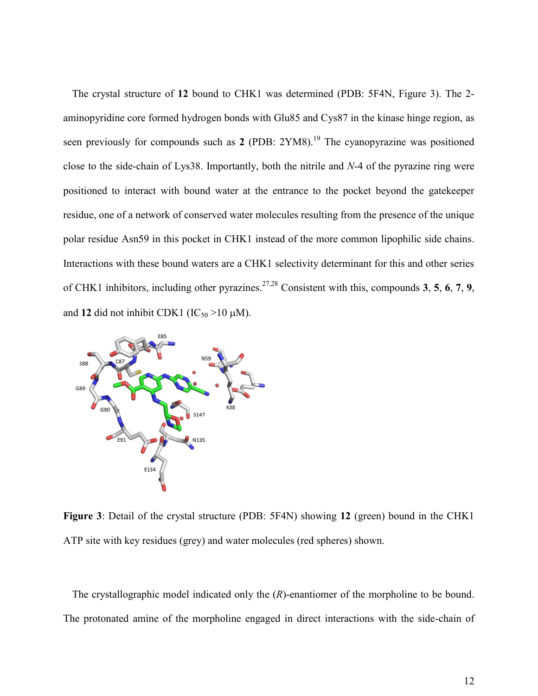The crystal structure of **12** bound to CHK1 was determined (PDB: 5F4N, Figure 3). The 2 aminopyridine core formed hydrogen bonds with Glu85 and Cys87 in the kinase hinge region, as seen previously for compounds such as 2 (PDB: 2YM8).<sup>19</sup> The cyanopyrazine was positioned close to the side-chain of Lys38. Importantly, both the nitrile and *N*-4 of the pyrazine ring were positioned to interact with bound water at the entrance to the pocket beyond the gatekeeper residue, one of a network of conserved water molecules resulting from the presence of the unique polar residue Asn59 in this pocket in CHK1 instead of the more common lipophilic side chains. Interactions with these bound waters are a CHK1 selectivity determinant for this and other series of CHK1 inhibitors, including other pyrazines.27,28 Consistent with this, compounds **3**, **5**, **6**, **7**, **9**, and 12 did not inhibit CDK1 ( $IC_{50}$  >10  $\mu$ M).



**Figure 3**: Detail of the crystal structure (PDB: 5F4N) showing **12** (green) bound in the CHK1 ATP site with key residues (grey) and water molecules (red spheres) shown.

The crystallographic model indicated only the  $(R)$ -enantiomer of the morpholine to be bound. The protonated amine of the morpholine engaged in direct interactions with the side-chain of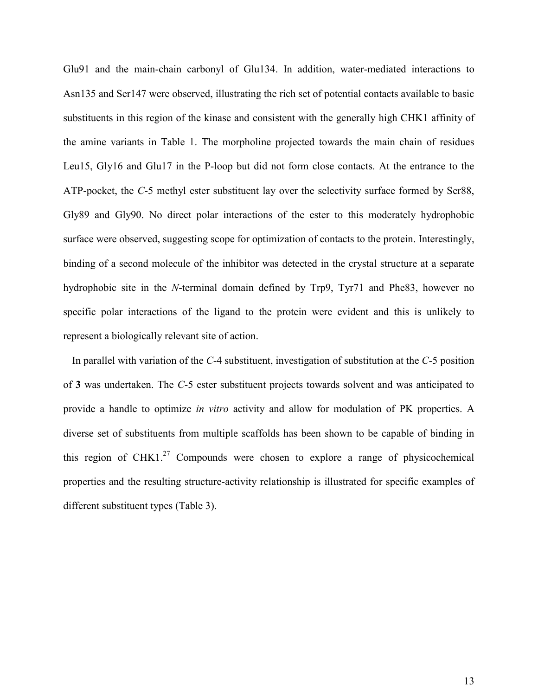Glu91 and the main-chain carbonyl of Glu134. In addition, water-mediated interactions to Asn135 and Ser147 were observed, illustrating the rich set of potential contacts available to basic substituents in this region of the kinase and consistent with the generally high CHK1 affinity of the amine variants in Table 1. The morpholine projected towards the main chain of residues Leu15, Gly16 and Glu17 in the P-loop but did not form close contacts. At the entrance to the ATP-pocket, the *C*-5 methyl ester substituent lay over the selectivity surface formed by Ser88, Gly89 and Gly90. No direct polar interactions of the ester to this moderately hydrophobic surface were observed, suggesting scope for optimization of contacts to the protein. Interestingly, binding of a second molecule of the inhibitor was detected in the crystal structure at a separate hydrophobic site in the *N*-terminal domain defined by Trp9, Tyr71 and Phe83, however no specific polar interactions of the ligand to the protein were evident and this is unlikely to represent a biologically relevant site of action.

In parallel with variation of the *C*-4 substituent, investigation of substitution at the *C*-5 position of **3** was undertaken. The *C*-5 ester substituent projects towards solvent and was anticipated to provide a handle to optimize *in vitro* activity and allow for modulation of PK properties. A diverse set of substituents from multiple scaffolds has been shown to be capable of binding in this region of CHK1.<sup>27</sup> Compounds were chosen to explore a range of physicochemical properties and the resulting structure-activity relationship is illustrated for specific examples of different substituent types (Table 3).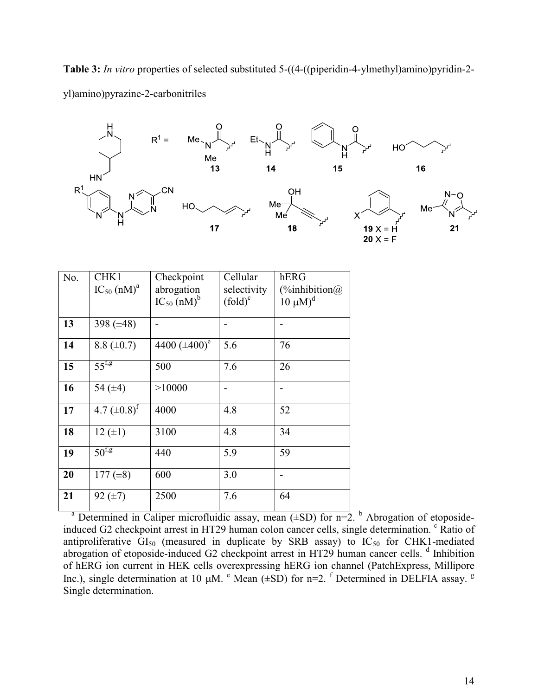**Table 3:** *In vitro* properties of selected substituted 5-((4-((piperidin-4-ylmethyl)amino)pyridin-2 yl)amino)pyrazine-2-carbonitriles



| No. | CHK1                        | Checkpoint                  | Cellular    | hERG                                      |
|-----|-----------------------------|-----------------------------|-------------|-------------------------------------------|
|     |                             |                             |             |                                           |
|     | $IC_{50}$ (nM) <sup>a</sup> | abrogation                  | selectivity | $\left(\frac{\%}{\sinh}{\text{b}}\right)$ |
|     |                             | $IC_{50}$ (nM) <sup>b</sup> | $(fold)^c$  | $10 \mu M$ <sup>d</sup>                   |
|     |                             |                             |             |                                           |
| 13  | 398 $(\pm 48)$              |                             |             |                                           |
|     |                             |                             |             |                                           |
| 14  | 8.8 $(\pm 0.7)$             | 4400 $(\pm 400)^e$          | 5.6         | 76                                        |
|     |                             |                             |             |                                           |
| 15  | $55^{f,g}$                  | 500                         | 7.6         | 26                                        |
|     |                             |                             |             |                                           |
| 16  | 54 $(\pm 4)$                | >10000                      |             |                                           |
|     |                             |                             |             |                                           |
| 17  | 4.7 $(\pm 0.8)^f$           | 4000                        | 4.8         | 52                                        |
|     |                             |                             |             |                                           |
| 18  | $12 (+1)$                   | 3100                        | 4.8         | 34                                        |
|     |                             |                             |             |                                           |
| 19  | $50^{f,g}$                  | 440                         | 5.9         | 59                                        |
|     |                             |                             |             |                                           |
| 20  | 177 $(\pm 8)$               | 600                         | 3.0         |                                           |
|     |                             |                             |             |                                           |
| 21  | $92 \ (\pm 7)$              | 2500                        | 7.6         | 64                                        |
|     |                             |                             |             |                                           |

<sup>a</sup> Determined in Caliper microfluidic assay, mean  $(\pm SD)$  for n=2. <sup>b</sup> Abrogation of etoposideinduced G2 checkpoint arrest in HT29 human colon cancer cells, single determination. <sup>c</sup> Ratio of antiproliferative  $GI_{50}$  (measured in duplicate by SRB assay) to  $IC_{50}$  for CHK1-mediated abrogation of etoposide-induced G2 checkpoint arrest in HT29 human cancer cells. <sup>d</sup> Inhibition of hERG ion current in HEK cells overexpressing hERG ion channel (PatchExpress, Millipore Inc.), single determination at 10  $\mu$ M.  $\text{e}$  Mean ( $\pm$ SD) for n=2. <sup>f</sup> Determined in DELFIA assay. <sup>g</sup> Single determination.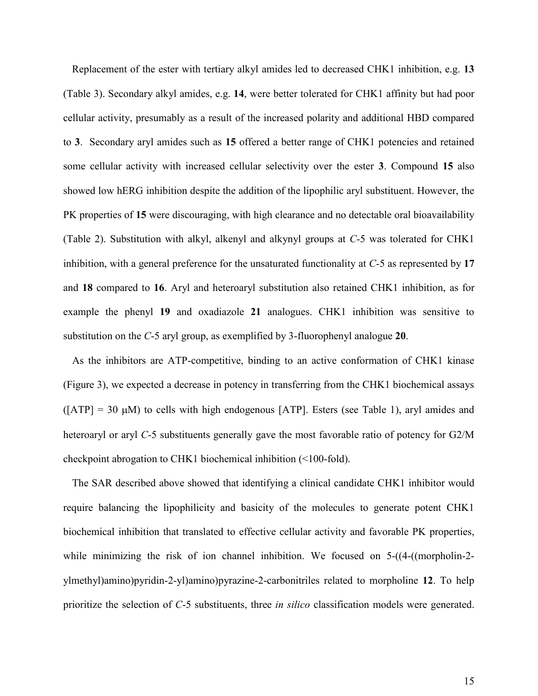Replacement of the ester with tertiary alkyl amides led to decreased CHK1 inhibition, e.g. **13**  (Table 3). Secondary alkyl amides, e.g. **14**, were better tolerated for CHK1 affinity but had poor cellular activity, presumably as a result of the increased polarity and additional HBD compared to **3**. Secondary aryl amides such as **15** offered a better range of CHK1 potencies and retained some cellular activity with increased cellular selectivity over the ester **3**. Compound **15** also showed low hERG inhibition despite the addition of the lipophilic aryl substituent. However, the PK properties of **15** were discouraging, with high clearance and no detectable oral bioavailability (Table 2). Substitution with alkyl, alkenyl and alkynyl groups at *C*-5 was tolerated for CHK1 inhibition, with a general preference for the unsaturated functionality at *C*-5 as represented by **17** and **18** compared to **16**. Aryl and heteroaryl substitution also retained CHK1 inhibition, as for example the phenyl **19** and oxadiazole **21** analogues. CHK1 inhibition was sensitive to substitution on the *C*-5 aryl group, as exemplified by 3-fluorophenyl analogue **20**.

As the inhibitors are ATP-competitive, binding to an active conformation of CHK1 kinase (Figure 3), we expected a decrease in potency in transferring from the CHK1 biochemical assays  $([ATP] = 30 \mu M)$  to cells with high endogenous [ATP]. Esters (see Table 1), aryl amides and heteroaryl or aryl *C*-5 substituents generally gave the most favorable ratio of potency for G2/M checkpoint abrogation to CHK1 biochemical inhibition (<100-fold).

The SAR described above showed that identifying a clinical candidate CHK1 inhibitor would require balancing the lipophilicity and basicity of the molecules to generate potent CHK1 biochemical inhibition that translated to effective cellular activity and favorable PK properties, while minimizing the risk of ion channel inhibition. We focused on  $5-(4-((morphism2$ ylmethyl)amino)pyridin-2-yl)amino)pyrazine-2-carbonitriles related to morpholine **12**. To help prioritize the selection of *C*-5 substituents, three *in silico* classification models were generated.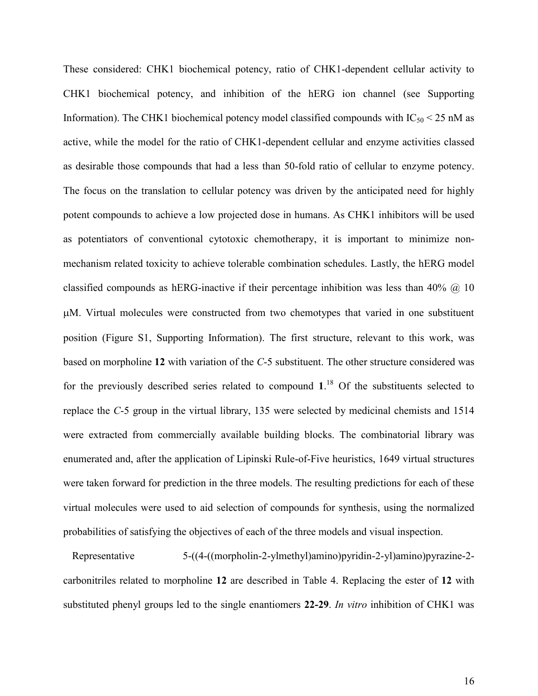These considered: CHK1 biochemical potency, ratio of CHK1-dependent cellular activity to CHK1 biochemical potency, and inhibition of the hERG ion channel (see Supporting Information). The CHK1 biochemical potency model classified compounds with  $IC_{50}$  < 25 nM as active, while the model for the ratio of CHK1-dependent cellular and enzyme activities classed as desirable those compounds that had a less than 50-fold ratio of cellular to enzyme potency. The focus on the translation to cellular potency was driven by the anticipated need for highly potent compounds to achieve a low projected dose in humans. As CHK1 inhibitors will be used as potentiators of conventional cytotoxic chemotherapy, it is important to minimize nonmechanism related toxicity to achieve tolerable combination schedules. Lastly, the hERG model classified compounds as hERG-inactive if their percentage inhibition was less than 40%  $\omega$  10 M. Virtual molecules were constructed from two chemotypes that varied in one substituent position (Figure S1, Supporting Information). The first structure, relevant to this work, was based on morpholine **12** with variation of the *C*-5 substituent. The other structure considered was for the previously described series related to compound  $1<sup>18</sup>$  Of the substituents selected to replace the *C*-5 group in the virtual library, 135 were selected by medicinal chemists and 1514 were extracted from commercially available building blocks. The combinatorial library was enumerated and, after the application of Lipinski Rule-of-Five heuristics, 1649 virtual structures were taken forward for prediction in the three models. The resulting predictions for each of these virtual molecules were used to aid selection of compounds for synthesis, using the normalized probabilities of satisfying the objectives of each of the three models and visual inspection.

Representative 5-((4-((morpholin-2-ylmethyl)amino)pyridin-2-yl)amino)pyrazine-2 carbonitriles related to morpholine **12** are described in Table 4. Replacing the ester of **12** with substituted phenyl groups led to the single enantiomers **22-29**. *In vitro* inhibition of CHK1 was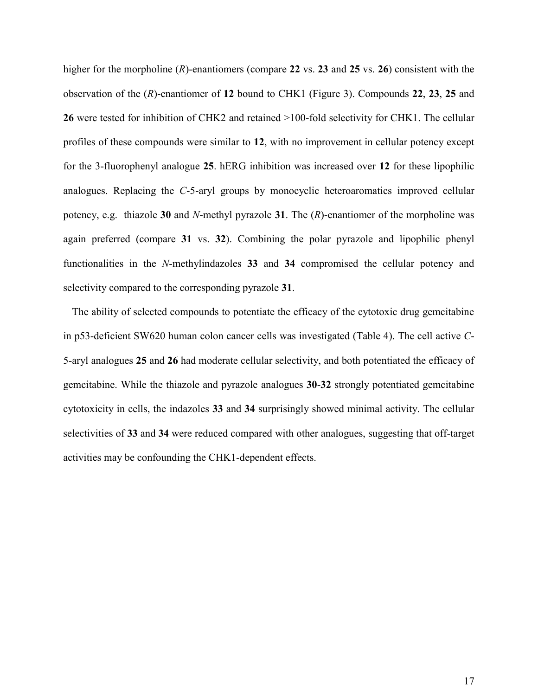higher for the morpholine (*R*)-enantiomers (compare **22** vs. **23** and **25** vs. **26**) consistent with the observation of the (*R*)-enantiomer of **12** bound to CHK1 (Figure 3). Compounds **22**, **23**, **25** and **26** were tested for inhibition of CHK2 and retained >100-fold selectivity for CHK1. The cellular profiles of these compounds were similar to **12**, with no improvement in cellular potency except for the 3-fluorophenyl analogue **25**. hERG inhibition was increased over **12** for these lipophilic analogues. Replacing the *C*-5-aryl groups by monocyclic heteroaromatics improved cellular potency, e.g. thiazole **30** and *N*-methyl pyrazole **31**. The (*R*)-enantiomer of the morpholine was again preferred (compare **31** vs. **32**). Combining the polar pyrazole and lipophilic phenyl functionalities in the *N*-methylindazoles **33** and **34** compromised the cellular potency and selectivity compared to the corresponding pyrazole **31**.

The ability of selected compounds to potentiate the efficacy of the cytotoxic drug gemcitabine in p53-deficient SW620 human colon cancer cells was investigated (Table 4). The cell active *C*-5-aryl analogues **25** and **26** had moderate cellular selectivity, and both potentiated the efficacy of gemcitabine. While the thiazole and pyrazole analogues **30**-**32** strongly potentiated gemcitabine cytotoxicity in cells, the indazoles **33** and **34** surprisingly showed minimal activity. The cellular selectivities of **33** and **34** were reduced compared with other analogues, suggesting that off-target activities may be confounding the CHK1-dependent effects.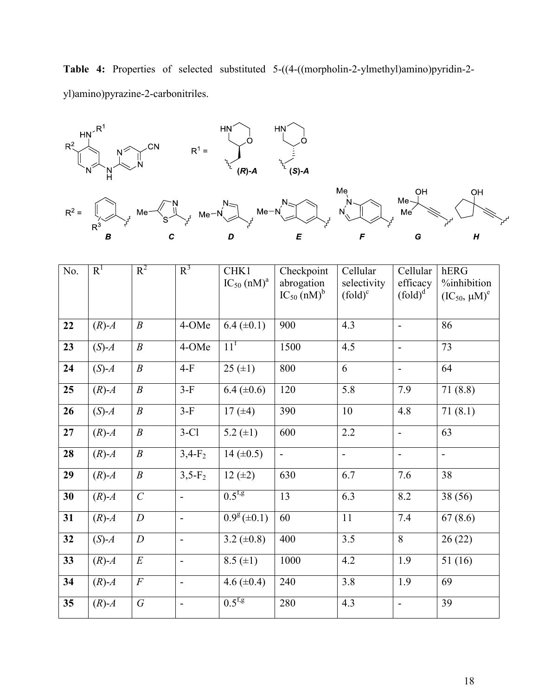**Table 4:** Properties of selected substituted 5-((4-((morpholin-2-ylmethyl)amino)pyridin-2 yl)amino)pyrazine-2-carbonitriles.



| No. | $R^1$       | $R^2$            | $R^3$                    | CHK1<br>$IC_{50}$ (nM) <sup>a</sup> | Checkpoint<br>abrogation<br>$IC_{50}$ (nM) <sup>b</sup> | Cellular<br>selectivity<br>$(fold)^c$ | Cellular<br>efficacy<br>$(fold)^d$ | hERG<br>%inhibition<br>$(IC_{50}, \mu M)^e$ |
|-----|-------------|------------------|--------------------------|-------------------------------------|---------------------------------------------------------|---------------------------------------|------------------------------------|---------------------------------------------|
|     |             |                  |                          |                                     |                                                         |                                       |                                    |                                             |
| 22  | $(R)$ - $A$ | $\boldsymbol{B}$ | 4-OMe                    | $6.4 (\pm 0.1)$                     | 900                                                     | 4.3                                   | $\overline{a}$                     | 86                                          |
| 23  | $(S)-A$     | $\boldsymbol{B}$ | 4-OMe                    | 11 <sup>f</sup>                     | 1500                                                    | 4.5                                   | $\blacksquare$                     | 73                                          |
| 24  | $(S)$ - $A$ | $\boldsymbol{B}$ | $4-F$                    | $25 (\pm 1)$                        | 800                                                     | 6                                     | $\blacksquare$                     | 64                                          |
| 25  | $(R)$ - $A$ | $\boldsymbol{B}$ | $3-F$                    | $6.4 (\pm 0.6)$                     | 120                                                     | 5.8                                   | 7.9                                | 71(8.8)                                     |
| 26  | $(S)-A$     | $\boldsymbol{B}$ | $3-F$                    | 17 $(±4)$                           | 390                                                     | 10                                    | 4.8                                | 71(8.1)                                     |
| 27  | $(R)$ - $A$ | $\boldsymbol{B}$ | $3-C1$                   | 5.2 $(\pm 1)$                       | 600                                                     | 2.2                                   | $\overline{a}$                     | 63                                          |
| 28  | $(R)$ - $A$ | $\boldsymbol{B}$ | $3,4-F_2$                | 14 $(\pm 0.5)$                      | $\Box$                                                  | $\frac{1}{2}$                         | $\overline{\phantom{a}}$           | $\blacksquare$                              |
| 29  | $(R)$ - $A$ | $\boldsymbol{B}$ | $3,5-F_2$                | $12 (+2)$                           | 630                                                     | 6.7                                   | 7.6                                | 38                                          |
| 30  | $(R)$ - $A$ | $\mathcal{C}$    | $\blacksquare$           | $0.5^{f,g}$                         | 13                                                      | 6.3                                   | 8.2                                | 38 (56)                                     |
| 31  | $(R)$ - $A$ | $\boldsymbol{D}$ | $\blacksquare$           | $0.9^g (\pm 0.1)$                   | 60                                                      | 11                                    | 7.4                                | 67(8.6)                                     |
| 32  | $(S)-A$     | $\boldsymbol{D}$ | $\blacksquare$           | 3.2 $(\pm 0.8)$                     | 400                                                     | $\overline{3.5}$                      | $\overline{8}$                     | 26(22)                                      |
| 33  | $(R)$ - $A$ | $\cal E$         | $\blacksquare$           | $8.5 (\pm 1)$                       | 1000                                                    | 4.2                                   | 1.9                                | 51(16)                                      |
| 34  | $(R)$ - $A$ | $\cal F$         | $\overline{\phantom{a}}$ | 4.6 $(\pm 0.4)$                     | 240                                                     | 3.8                                   | 1.9                                | 69                                          |
| 35  | $(R)$ - $A$ | G                | $\blacksquare$           | $0.5^{\rm f,g}$                     | 280                                                     | 4.3                                   | $\blacksquare$                     | 39                                          |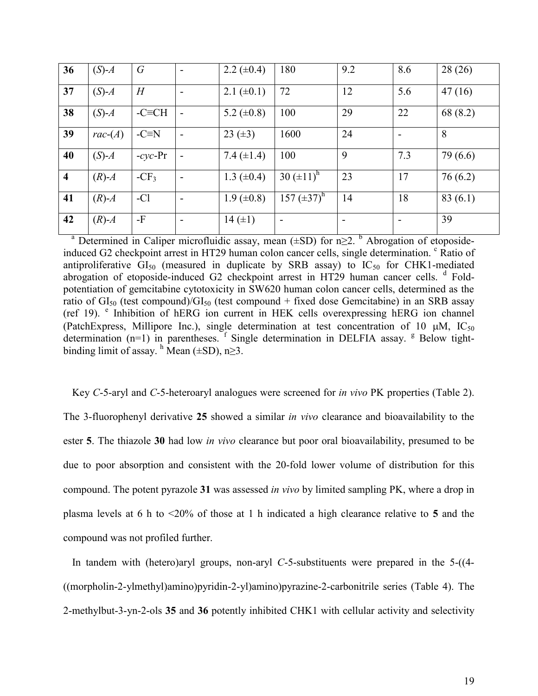| 36                      | $(S)$ - $A$    | $\mathcal G$  | $\blacksquare$           | 2.2 $(\pm 0.4)$   | 180              | 9.2 | 8.6 | 28(26)   |
|-------------------------|----------------|---------------|--------------------------|-------------------|------------------|-----|-----|----------|
| 37                      | $(S)$ - $A$    | H             | $\overline{\phantom{a}}$ | 2.1 $(\pm 0.1)$   | 72               | 12  | 5.6 | 47(16)   |
| 38                      | $(S)-A$        | $-C\equiv CH$ | $\overline{\phantom{a}}$ | 5.2 $(\pm 0.8)$   | 100              | 29  | 22  | 68 (8.2) |
| 39                      | $rac{-(A)}{A}$ | $-C \equiv N$ | $\overline{\phantom{a}}$ | 23 $(\pm 3)$      | 1600             | 24  |     | 8        |
| 40                      | $(S)-A$        | $-cyc$ -Pr    | $\overline{\phantom{a}}$ | 7.4 $(\pm 1.4)$   | 100              | 9   | 7.3 | 79 (6.6) |
| $\overline{\mathbf{4}}$ | $(R)$ - $A$    | $-CF_3$       | $\overline{\phantom{a}}$ | 1.3 $(\pm 0.4)$   | 30 $(\pm 11)^h$  | 23  | 17  | 76(6.2)  |
| 41                      | $(R)$ - $A$    | $-Cl$         | $\overline{\phantom{a}}$ | $1.9 \ (\pm 0.8)$ | 157 $(\pm 37)^h$ | 14  | 18  | 83(6.1)  |
| 42                      | $(R)$ - $A$    | $-F$          |                          | 14 $(\pm 1)$      |                  |     |     | 39       |

<sup>a</sup> Determined in Caliper microfluidic assay, mean  $(\pm SD)$  for n $\geq$ . <sup>b</sup> Abrogation of etoposideinduced G2 checkpoint arrest in HT29 human colon cancer cells, single determination. <sup>c</sup> Ratio of antiproliferative  $GI_{50}$  (measured in duplicate by SRB assay) to  $IC_{50}$  for CHK1-mediated abrogation of etoposide-induced G2 checkpoint arrest in HT29 human cancer cells. <sup>d</sup> Foldpotentiation of gemcitabine cytotoxicity in SW620 human colon cancer cells, determined as the ratio of  $GI_{50}$  (test compound)/ $GI_{50}$  (test compound + fixed dose Gemcitabine) in an SRB assay (ref 19). <sup>e</sup> Inhibition of hERG ion current in HEK cells overexpressing hERG ion channel (PatchExpress, Millipore Inc.), single determination at test concentration of 10  $\mu$ M, IC<sub>50</sub> determination  $(n=1)$  in parentheses. <sup>f</sup> Single determination in DELFIA assay. <sup>g</sup> Below tightbinding limit of assay.  $^h$  Mean ( $\pm$ SD), n $\geq$ 3.

Key *C*-5-aryl and *C*-5-heteroaryl analogues were screened for *in vivo* PK properties (Table 2). The 3-fluorophenyl derivative **25** showed a similar *in vivo* clearance and bioavailability to the ester **5**. The thiazole **30** had low *in vivo* clearance but poor oral bioavailability, presumed to be due to poor absorption and consistent with the 20-fold lower volume of distribution for this compound. The potent pyrazole **31** was assessed *in vivo* by limited sampling PK, where a drop in plasma levels at 6 h to <20% of those at 1 h indicated a high clearance relative to **5** and the compound was not profiled further.

In tandem with (hetero)aryl groups, non-aryl *C*-5-substituents were prepared in the 5-((4- ((morpholin-2-ylmethyl)amino)pyridin-2-yl)amino)pyrazine-2-carbonitrile series (Table 4). The 2-methylbut-3-yn-2-ols **35** and **36** potently inhibited CHK1 with cellular activity and selectivity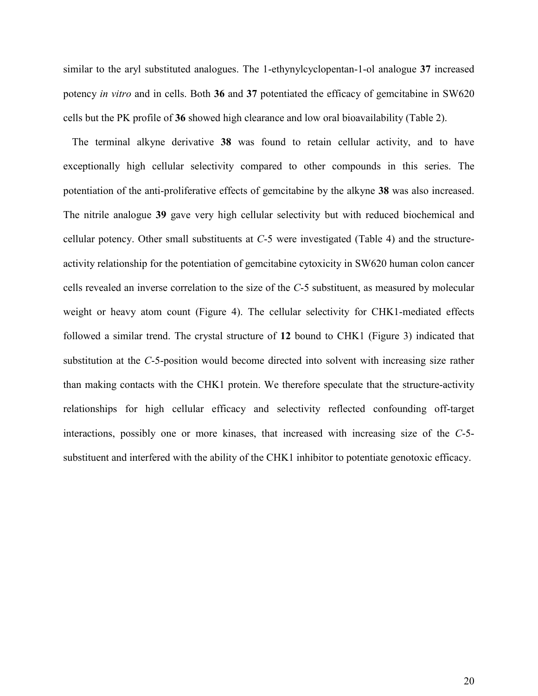similar to the aryl substituted analogues. The 1-ethynylcyclopentan-1-ol analogue **37** increased potency *in vitro* and in cells. Both **36** and **37** potentiated the efficacy of gemcitabine in SW620 cells but the PK profile of **36** showed high clearance and low oral bioavailability (Table 2).

The terminal alkyne derivative **38** was found to retain cellular activity, and to have exceptionally high cellular selectivity compared to other compounds in this series. The potentiation of the anti-proliferative effects of gemcitabine by the alkyne **38** was also increased. The nitrile analogue **39** gave very high cellular selectivity but with reduced biochemical and cellular potency. Other small substituents at *C*-5 were investigated (Table 4) and the structureactivity relationship for the potentiation of gemcitabine cytoxicity in SW620 human colon cancer cells revealed an inverse correlation to the size of the *C*-5 substituent, as measured by molecular weight or heavy atom count (Figure 4). The cellular selectivity for CHK1-mediated effects followed a similar trend. The crystal structure of **12** bound to CHK1 (Figure 3) indicated that substitution at the *C*-5-position would become directed into solvent with increasing size rather than making contacts with the CHK1 protein. We therefore speculate that the structure-activity relationships for high cellular efficacy and selectivity reflected confounding off-target interactions, possibly one or more kinases, that increased with increasing size of the *C*-5 substituent and interfered with the ability of the CHK1 inhibitor to potentiate genotoxic efficacy.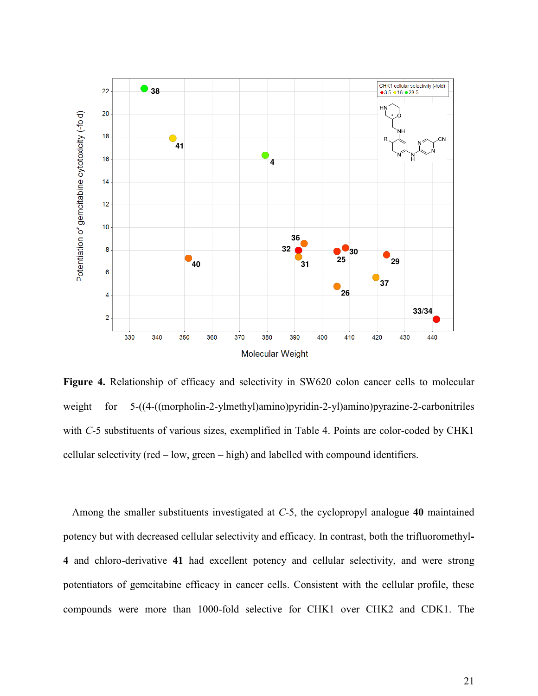

**Figure 4.** Relationship of efficacy and selectivity in SW620 colon cancer cells to molecular weight for 5-((4-((morpholin-2-ylmethyl)amino)pyridin-2-yl)amino)pyrazine-2-carbonitriles with *C*-5 substituents of various sizes, exemplified in Table 4. Points are color-coded by CHK1 cellular selectivity (red – low, green – high) and labelled with compound identifiers.

Among the smaller substituents investigated at *C*-5, the cyclopropyl analogue **40** maintained potency but with decreased cellular selectivity and efficacy. In contrast, both the trifluoromethyl**-4** and chloro-derivative **41** had excellent potency and cellular selectivity, and were strong potentiators of gemcitabine efficacy in cancer cells. Consistent with the cellular profile, these compounds were more than 1000-fold selective for CHK1 over CHK2 and CDK1. The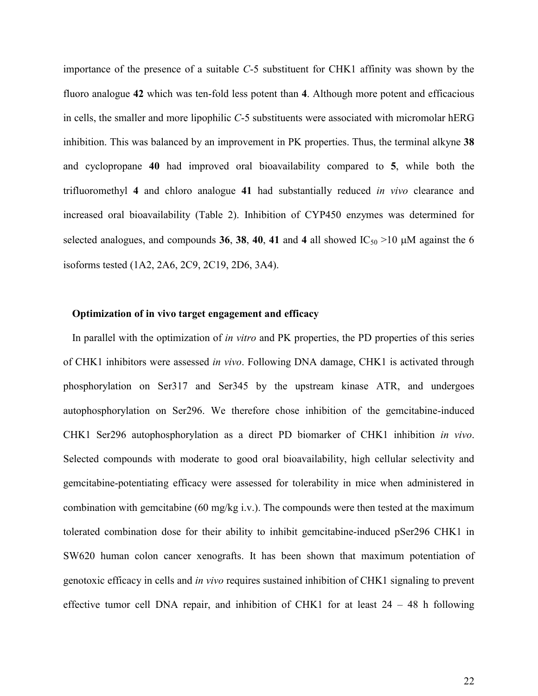importance of the presence of a suitable *C*-5 substituent for CHK1 affinity was shown by the fluoro analogue **42** which was ten-fold less potent than **4**. Although more potent and efficacious in cells, the smaller and more lipophilic *C*-5 substituents were associated with micromolar hERG inhibition. This was balanced by an improvement in PK properties. Thus, the terminal alkyne **38** and cyclopropane **40** had improved oral bioavailability compared to **5**, while both the trifluoromethyl **4** and chloro analogue **41** had substantially reduced *in vivo* clearance and increased oral bioavailability (Table 2). Inhibition of CYP450 enzymes was determined for selected analogues, and compounds **36**, **38**, **40**, **41** and **4** all showed IC<sub>50</sub> >10  $\mu$ M against the 6 isoforms tested (1A2, 2A6, 2C9, 2C19, 2D6, 3A4).

#### **Optimization of in vivo target engagement and efficacy**

In parallel with the optimization of *in vitro* and PK properties, the PD properties of this series of CHK1 inhibitors were assessed *in vivo*. Following DNA damage, CHK1 is activated through phosphorylation on Ser317 and Ser345 by the upstream kinase ATR, and undergoes autophosphorylation on Ser296. We therefore chose inhibition of the gemcitabine-induced CHK1 Ser296 autophosphorylation as a direct PD biomarker of CHK1 inhibition *in vivo*. Selected compounds with moderate to good oral bioavailability, high cellular selectivity and gemcitabine-potentiating efficacy were assessed for tolerability in mice when administered in combination with gemcitabine (60 mg/kg i.v.). The compounds were then tested at the maximum tolerated combination dose for their ability to inhibit gemcitabine-induced pSer296 CHK1 in SW620 human colon cancer xenografts. It has been shown that maximum potentiation of genotoxic efficacy in cells and *in vivo* requires sustained inhibition of CHK1 signaling to prevent effective tumor cell DNA repair, and inhibition of CHK1 for at least  $24 - 48$  h following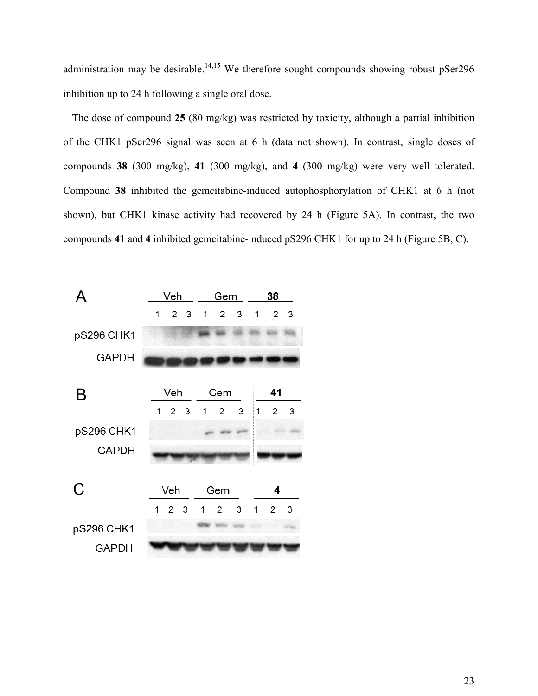administration may be desirable.<sup>14,15</sup> We therefore sought compounds showing robust  $p$ Ser296 inhibition up to 24 h following a single oral dose.

The dose of compound **25** (80 mg/kg) was restricted by toxicity, although a partial inhibition of the CHK1 pSer296 signal was seen at 6 h (data not shown). In contrast, single doses of compounds **38** (300 mg/kg), **41** (300 mg/kg), and **4** (300 mg/kg) were very well tolerated. Compound **38** inhibited the gemcitabine-induced autophosphorylation of CHK1 at 6 h (not shown), but CHK1 kinase activity had recovered by 24 h (Figure 5A). In contrast, the two compounds **41** and **4** inhibited gemcitabine-induced pS296 CHK1 for up to 24 h (Figure 5B, C).

| д            | <u>Veh</u> |                 |                | Gem          |                |              |              | 38             |     |  |
|--------------|------------|-----------------|----------------|--------------|----------------|--------------|--------------|----------------|-----|--|
|              | 1          |                 | 2 <sub>3</sub> | $\mathbf{1}$ | $\overline{2}$ | $\mathbf{3}$ | $\mathbf{1}$ | $\overline{2}$ | 3   |  |
| pS296 CHK1   |            |                 |                |              |                |              |              |                |     |  |
| <b>GAPDH</b> |            |                 |                |              |                |              |              |                |     |  |
|              |            |                 |                |              |                |              |              |                |     |  |
| B            |            | Veh             |                |              | Gem            |              |              | 41             |     |  |
|              |            | $1\quad2\quad3$ |                | 1            | $\overline{2}$ | $\mathbf{3}$ | 1            | 2              | 3   |  |
| pS296 CHK1   |            |                 |                |              |                |              |              |                |     |  |
| <b>GAPDH</b> |            |                 |                |              |                |              |              |                |     |  |
| C            |            |                 |                |              |                |              |              |                |     |  |
|              | Veh        |                 |                | Gem          |                |              | 4            |                |     |  |
|              | 1          |                 |                |              | 2 3 1 2 3      |              | 1            | $\mathbf{2}$   | - 3 |  |
| pS296 CHK1   |            |                 |                |              |                |              |              |                |     |  |
| <b>GAPDH</b> |            |                 |                |              |                |              |              |                |     |  |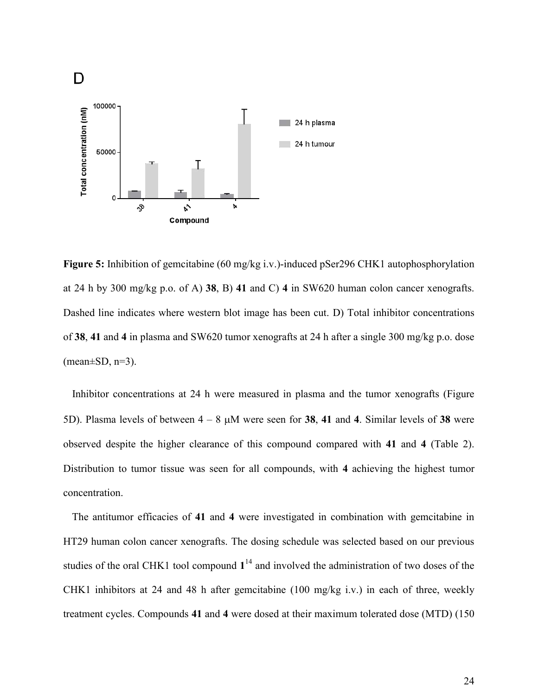

**Figure 5:** Inhibition of gemcitabine (60 mg/kg i.v.)-induced pSer296 CHK1 autophosphorylation at 24 h by 300 mg/kg p.o. of A) **38**, B) **41** and C) **4** in SW620 human colon cancer xenografts. Dashed line indicates where western blot image has been cut. D) Total inhibitor concentrations of **38**, **41** and **4** in plasma and SW620 tumor xenografts at 24 h after a single 300 mg/kg p.o. dose  $(mean \pm SD, n=3)$ .

Inhibitor concentrations at 24 h were measured in plasma and the tumor xenografts (Figure 5D). Plasma levels of between  $4 - 8$   $\mu$ M were seen for **38**, 41 and 4. Similar levels of **38** were observed despite the higher clearance of this compound compared with **41** and **4** (Table 2). Distribution to tumor tissue was seen for all compounds, with **4** achieving the highest tumor concentration.

The antitumor efficacies of **41** and **4** were investigated in combination with gemcitabine in HT29 human colon cancer xenografts. The dosing schedule was selected based on our previous studies of the oral CHK1 tool compound  $1<sup>14</sup>$  and involved the administration of two doses of the CHK1 inhibitors at 24 and 48 h after gemcitabine (100 mg/kg i.v.) in each of three, weekly treatment cycles. Compounds **41** and **4** were dosed at their maximum tolerated dose (MTD) (150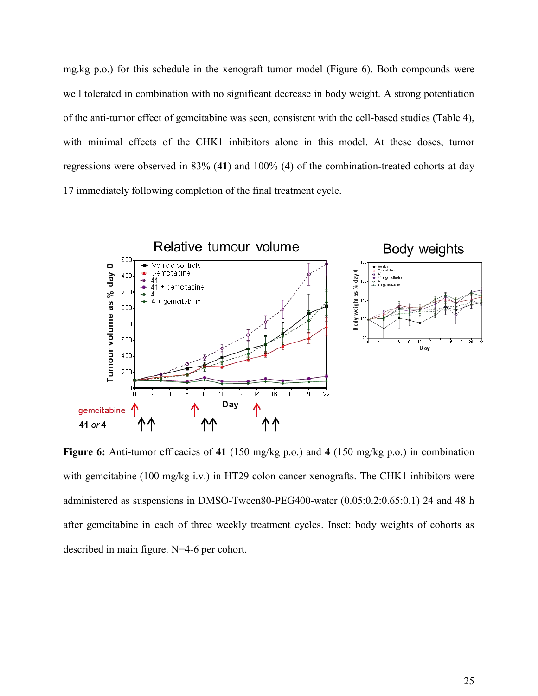mg.kg p.o.) for this schedule in the xenograft tumor model (Figure 6). Both compounds were well tolerated in combination with no significant decrease in body weight. A strong potentiation of the anti-tumor effect of gemcitabine was seen, consistent with the cell-based studies (Table 4), with minimal effects of the CHK1 inhibitors alone in this model. At these doses, tumor regressions were observed in 83% (**41**) and 100% (**4**) of the combination-treated cohorts at day 17 immediately following completion of the final treatment cycle.



**Figure 6:** Anti-tumor efficacies of **41** (150 mg/kg p.o.) and **4** (150 mg/kg p.o.) in combination with gemcitabine (100 mg/kg i.v.) in HT29 colon cancer xenografts. The CHK1 inhibitors were administered as suspensions in DMSO-Tween80-PEG400-water (0.05:0.2:0.65:0.1) 24 and 48 h after gemcitabine in each of three weekly treatment cycles. Inset: body weights of cohorts as described in main figure. N=4-6 per cohort.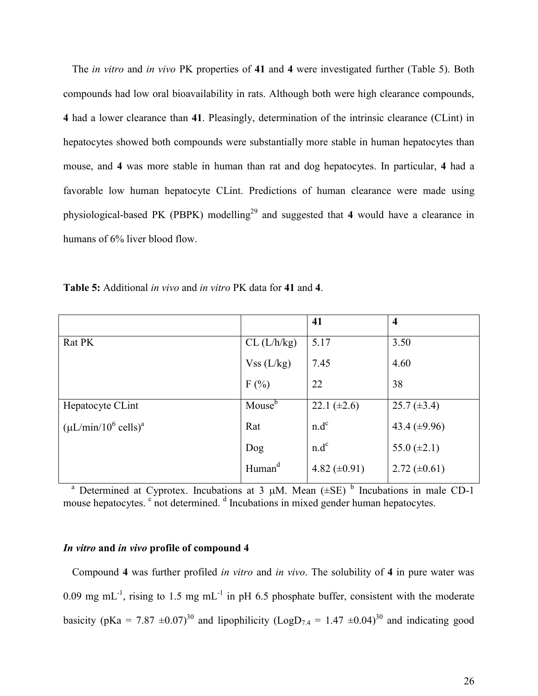The *in vitro* and *in vivo* PK properties of **41** and **4** were investigated further (Table 5). Both compounds had low oral bioavailability in rats. Although both were high clearance compounds, **4** had a lower clearance than **41**. Pleasingly, determination of the intrinsic clearance (CLint) in hepatocytes showed both compounds were substantially more stable in human hepatocytes than mouse, and **4** was more stable in human than rat and dog hepatocytes. In particular, **4** had a favorable low human hepatocyte CLint. Predictions of human clearance were made using physiological-based PK (PBPK) modelling<sup>29</sup> and suggested that 4 would have a clearance in humans of 6% liver blood flow.

|                                    |                    | 41                | $\overline{\mathbf{4}}$ |
|------------------------------------|--------------------|-------------------|-------------------------|
| Rat PK                             | CL (L/h/kg)        | 5.17              | 3.50                    |
|                                    | Vss (L/kg)         | 7.45              | 4.60                    |
|                                    | F(%)               | 22                | 38                      |
| Hepatocyte CLint                   | Mouse <sup>b</sup> | 22.1 $(\pm 2.6)$  | $25.7 (\pm 3.4)$        |
| $(\mu L/min/10^6 \text{ cells})^a$ | Rat                | $n.d^c$           | 43.4 $(\pm 9.96)$       |
|                                    | Dog                | $n.d^c$           | 55.0 $(\pm 2.1)$        |
|                                    | Human <sup>d</sup> | 4.82 $(\pm 0.91)$ | 2.72 $(\pm 0.61)$       |

**Table 5:** Additional *in vivo* and *in vitro* PK data for **41** and **4**.

<sup>a</sup> Determined at Cyprotex. Incubations at 3  $\mu$ M. Mean  $(\pm SE)^{b}$  Incubations in male CD-1 mouse hepatocytes. <sup>c</sup> not determined. <sup>d</sup> Incubations in mixed gender human hepatocytes.

#### *In vitro* **and** *in vivo* **profile of compound 4**

Compound **4** was further profiled *in vitro* and *in vivo*. The solubility of **4** in pure water was 0.09 mg mL<sup>-1</sup>, rising to 1.5 mg mL<sup>-1</sup> in pH 6.5 phosphate buffer, consistent with the moderate basicity (pKa = 7.87  $\pm 0.07$ )<sup>30</sup> and lipophilicity (LogD<sub>7.4</sub> = 1.47  $\pm 0.04$ )<sup>30</sup> and indicating good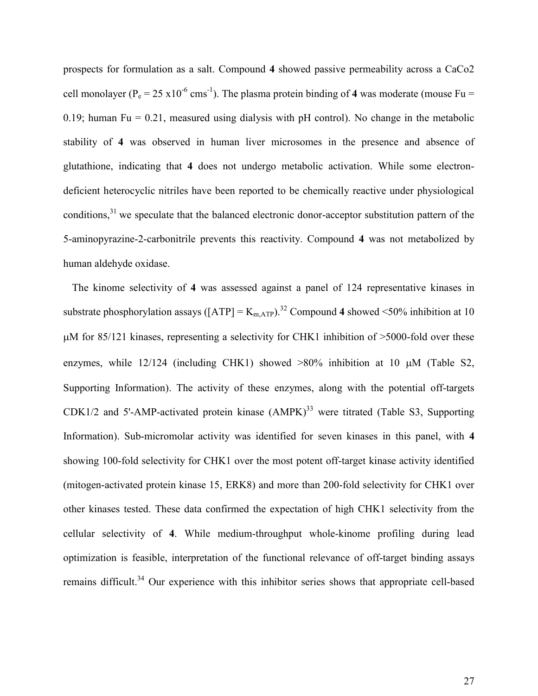prospects for formulation as a salt. Compound **4** showed passive permeability across a CaCo2 cell monolayer ( $P_e = 25 \times 10^{-6}$  cms<sup>-1</sup>). The plasma protein binding of 4 was moderate (mouse Fu = 0.19; human Fu = 0.21, measured using dialysis with pH control). No change in the metabolic stability of **4** was observed in human liver microsomes in the presence and absence of glutathione, indicating that **4** does not undergo metabolic activation. While some electrondeficient heterocyclic nitriles have been reported to be chemically reactive under physiological conditions,<sup>31</sup> we speculate that the balanced electronic donor-acceptor substitution pattern of the 5-aminopyrazine-2-carbonitrile prevents this reactivity. Compound **4** was not metabolized by human aldehyde oxidase.

The kinome selectivity of **4** was assessed against a panel of 124 representative kinases in substrate phosphorylation assays ( $[ATP] = K_{mATP}$ ).<sup>32</sup> Compound 4 showed <50% inhibition at 10  $\mu$ M for 85/121 kinases, representing a selectivity for CHK1 inhibition of >5000-fold over these enzymes, while  $12/124$  (including CHK1) showed  $>80\%$  inhibition at 10  $\mu$ M (Table S2, Supporting Information). The activity of these enzymes, along with the potential off-targets  $CDK1/2$  and 5'-AMP-activated protein kinase  $(AMPK)^{33}$  were titrated (Table S3, Supporting Information). Sub-micromolar activity was identified for seven kinases in this panel, with **4** showing 100-fold selectivity for CHK1 over the most potent off-target kinase activity identified (mitogen-activated protein kinase 15, ERK8) and more than 200-fold selectivity for CHK1 over other kinases tested. These data confirmed the expectation of high CHK1 selectivity from the cellular selectivity of **4**. While medium-throughput whole-kinome profiling during lead optimization is feasible, interpretation of the functional relevance of off-target binding assays remains difficult.<sup>34</sup> Our experience with this inhibitor series shows that appropriate cell-based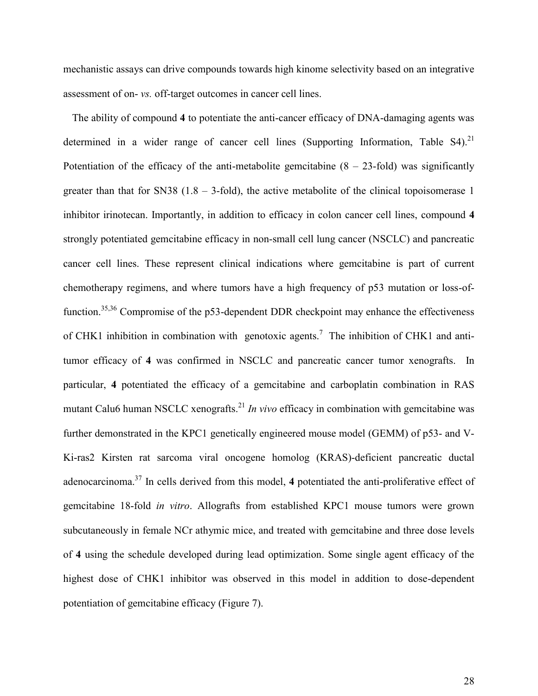mechanistic assays can drive compounds towards high kinome selectivity based on an integrative assessment of on- *vs.* off-target outcomes in cancer cell lines.

The ability of compound **4** to potentiate the anti-cancer efficacy of DNA-damaging agents was determined in a wider range of cancer cell lines (Supporting Information, Table  $S4$ ).<sup>21</sup> Potentiation of the efficacy of the anti-metabolite gemcitabine  $(8 - 23$ -fold) was significantly greater than that for SN38 (1.8 – 3-fold), the active metabolite of the clinical topoisomerase 1 inhibitor irinotecan. Importantly, in addition to efficacy in colon cancer cell lines, compound **4**  strongly potentiated gemcitabine efficacy in non-small cell lung cancer (NSCLC) and pancreatic cancer cell lines. These represent clinical indications where gemcitabine is part of current chemotherapy regimens, and where tumors have a high frequency of p53 mutation or loss-offunction.<sup>35,36</sup> Compromise of the p53-dependent DDR checkpoint may enhance the effectiveness of CHK1 inhibition in combination with genotoxic agents.<sup>7</sup> The inhibition of CHK1 and antitumor efficacy of **4** was confirmed in NSCLC and pancreatic cancer tumor xenografts. In particular, **4** potentiated the efficacy of a gemcitabine and carboplatin combination in RAS mutant Calu6 human NSCLC xenografts.<sup>21</sup> *In vivo* efficacy in combination with gemcitabine was further demonstrated in the KPC1 genetically engineered mouse model (GEMM) of p53- and V-Ki-ras2 Kirsten rat sarcoma viral oncogene homolog (KRAS)-deficient pancreatic ductal adenocarcinoma.<sup>37</sup> In cells derived from this model, 4 potentiated the anti-proliferative effect of gemcitabine 18-fold *in vitro*. Allografts from established KPC1 mouse tumors were grown subcutaneously in female NCr athymic mice, and treated with gemcitabine and three dose levels of **4** using the schedule developed during lead optimization. Some single agent efficacy of the highest dose of CHK1 inhibitor was observed in this model in addition to dose-dependent potentiation of gemcitabine efficacy (Figure 7).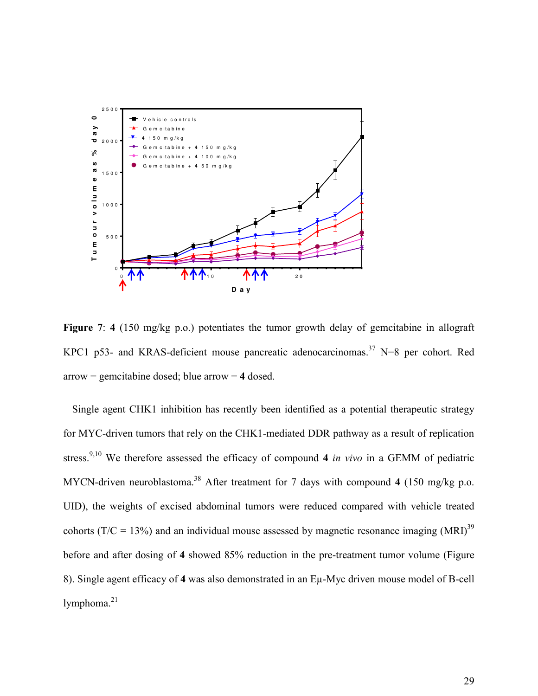

**Figure 7**: **4** (150 mg/kg p.o.) potentiates the tumor growth delay of gemcitabine in allograft KPC1 p53- and KRAS-deficient mouse pancreatic adenocarcinomas.<sup>37</sup> N=8 per cohort. Red arrow = gemcitabine dosed; blue arrow = **4** dosed.

Single agent CHK1 inhibition has recently been identified as a potential therapeutic strategy for MYC-driven tumors that rely on the CHK1-mediated DDR pathway as a result of replication stress.9,10 We therefore assessed the efficacy of compound **4** *in vivo* in a GEMM of pediatric MYCN-driven neuroblastoma.<sup>38</sup> After treatment for 7 days with compound 4 (150 mg/kg p.o. UID), the weights of excised abdominal tumors were reduced compared with vehicle treated cohorts ( $T/C = 13\%$ ) and an individual mouse assessed by magnetic resonance imaging (MRI)<sup>39</sup> before and after dosing of **4** showed 85% reduction in the pre-treatment tumor volume (Figure 8). Single agent efficacy of **4** was also demonstrated in an Eµ-Myc driven mouse model of B-cell lymphoma.<sup>21</sup>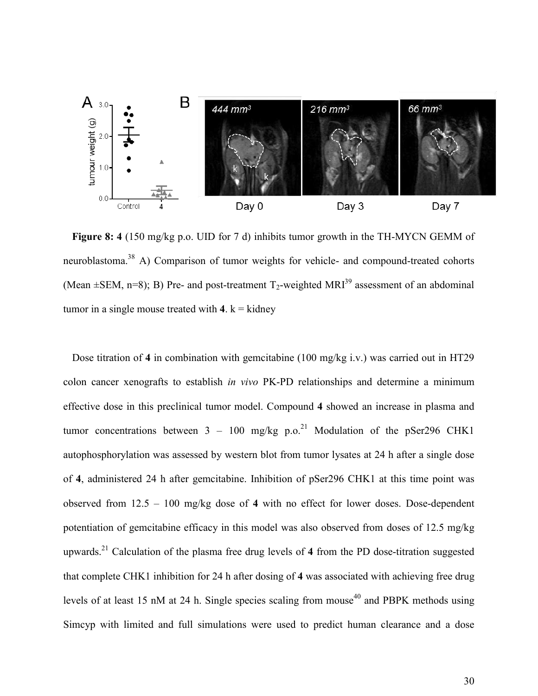

**Figure 8: 4** (150 mg/kg p.o. UID for 7 d) inhibits tumor growth in the TH-MYCN GEMM of neuroblastoma.<sup>38</sup> A) Comparison of tumor weights for vehicle- and compound-treated cohorts (Mean  $\pm$ SEM, n=8); B) Pre- and post-treatment T<sub>2</sub>-weighted MRI<sup>39</sup> assessment of an abdominal tumor in a single mouse treated with  $4$ .  $k =$  kidney

Dose titration of **4** in combination with gemcitabine (100 mg/kg i.v.) was carried out in HT29 colon cancer xenografts to establish *in vivo* PK-PD relationships and determine a minimum effective dose in this preclinical tumor model. Compound **4** showed an increase in plasma and tumor concentrations between  $3 - 100$  mg/kg p.o.<sup>21</sup> Modulation of the pSer296 CHK1 autophosphorylation was assessed by western blot from tumor lysates at 24 h after a single dose of **4**, administered 24 h after gemcitabine. Inhibition of pSer296 CHK1 at this time point was observed from 12.5 – 100 mg/kg dose of **4** with no effect for lower doses. Dose-dependent potentiation of gemcitabine efficacy in this model was also observed from doses of 12.5 mg/kg upwards.<sup>21</sup> Calculation of the plasma free drug levels of **4** from the PD dose-titration suggested that complete CHK1 inhibition for 24 h after dosing of **4** was associated with achieving free drug levels of at least 15 nM at 24 h. Single species scaling from mouse<sup>40</sup> and PBPK methods using Simcyp with limited and full simulations were used to predict human clearance and a dose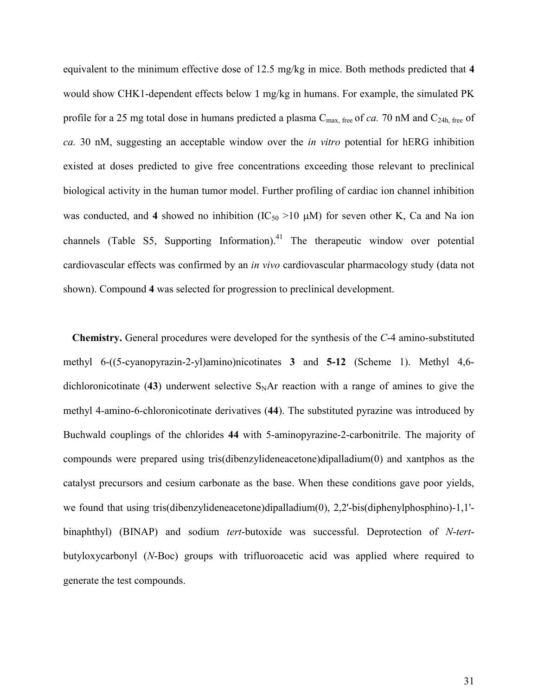equivalent to the minimum effective dose of 12.5 mg/kg in mice. Both methods predicted that **4** would show CHK1-dependent effects below 1 mg/kg in humans. For example, the simulated PK profile for a 25 mg total dose in humans predicted a plasma  $C_{\text{max}}$ , free of *ca*. 70 nM and  $C_{\text{24h}}$ , free of *ca.* 30 nM, suggesting an acceptable window over the *in vitro* potential for hERG inhibition existed at doses predicted to give free concentrations exceeding those relevant to preclinical biological activity in the human tumor model. Further profiling of cardiac ion channel inhibition was conducted, and 4 showed no inhibition  $(IC_{50} >10 \mu M)$  for seven other K, Ca and Na ion channels (Table S5, Supporting Information).<sup>41</sup> The therapeutic window over potential cardiovascular effects was confirmed by an *in vivo* cardiovascular pharmacology study (data not shown). Compound **4** was selected for progression to preclinical development.

**Chemistry.** General procedures were developed for the synthesis of the *C*-4 amino-substituted methyl 6-((5-cyanopyrazin-2-yl)amino)nicotinates **3** and **5-12** (Scheme 1). Methyl 4,6 dichloronicotinate (43) underwent selective  $S<sub>N</sub>Ar$  reaction with a range of amines to give the methyl 4-amino-6-chloronicotinate derivatives (**44**). The substituted pyrazine was introduced by Buchwald couplings of the chlorides **44** with 5-aminopyrazine-2-carbonitrile. The majority of compounds were prepared using tris(dibenzylideneacetone)dipalladium(0) and xantphos as the catalyst precursors and cesium carbonate as the base. When these conditions gave poor yields, we found that using tris(dibenzylideneacetone)dipalladium(0), 2,2'-bis(diphenylphosphino)-1,1' binaphthyl) (BINAP) and sodium *tert*-butoxide was successful. Deprotection of *N*-*tert*butyloxycarbonyl (*N*-Boc) groups with trifluoroacetic acid was applied where required to generate the test compounds.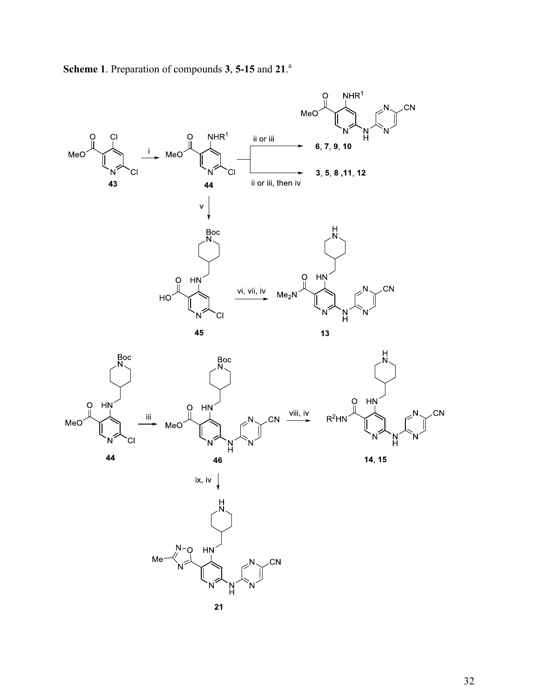

**Scheme 1**. Preparation of compounds **3**, **5-15** and **21**. a



.<br>CN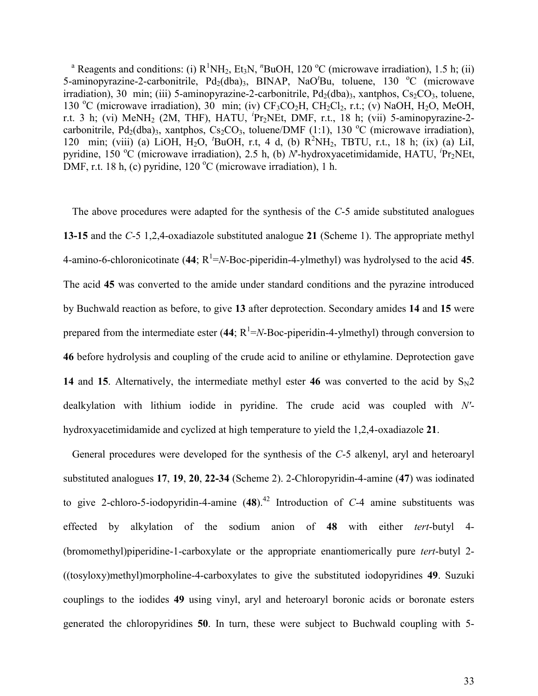<sup>a</sup> Reagents and conditions: (i)  $R^1NH_2$ , Et<sub>3</sub>N,  $^nBuOH$ , 120 °C (microwave irradiation), 1.5 h; (ii) 5-aminopyrazine-2-carbonitrile, Pd<sub>2</sub>(dba)<sub>3</sub>, BINAP, NaO<sup>t</sup>Bu, toluene, 130 °C (microwave irradiation), 30 min; (iii) 5-aminopyrazine-2-carbonitrile,  $Pd_2(dba)$ <sub>3</sub>, xantphos,  $Cs_2CO_3$ , toluene, 130 °C (microwave irradiation), 30 min; (iv)  $CF_3CO_2H$ ,  $CH_2Cl_2$ , r.t.; (v) NaOH, H<sub>2</sub>O, MeOH, r.t. 3 h; (vi) MeNH2 (2M, THF), HATU, *<sup>i</sup>* Pr2NEt, DMF, r.t., 18 h; (vii) 5-aminopyrazine-2 carbonitrile, Pd<sub>2</sub>(dba)<sub>3</sub>, xantphos, Cs<sub>2</sub>CO<sub>3</sub>, toluene/DMF (1:1), 130 °C (microwave irradiation), 120 min; (viii) (a) LiOH, H2O, *<sup>t</sup>*BuOH, r.t, 4 d, (b) R<sup>2</sup>NH2, TBTU, r.t., 18 h; (ix) (a) LiI, pyridine, 150 °C (microwave irradiation), 2.5 h, (b) *N*'-hydroxyacetimidamide, HATU, <sup>*i*</sup>Pr<sub>2</sub>NEt, DMF, r.t. 18 h, (c) pyridine,  $120^{\circ}$ C (microwave irradiation), 1 h.

The above procedures were adapted for the synthesis of the *C*-5 amide substituted analogues **13-15** and the *C*-5 1,2,4-oxadiazole substituted analogue **21** (Scheme 1). The appropriate methyl 4-amino-6-chloronicotinate (44;  $R^1 = N$ -Boc-piperidin-4-ylmethyl) was hydrolysed to the acid 45. The acid **45** was converted to the amide under standard conditions and the pyrazine introduced by Buchwald reaction as before, to give **13** after deprotection. Secondary amides **14** and **15** were prepared from the intermediate ester  $(44; R^1 = N-Boc-piperidin-4-ylmethyl)$  through conversion to **46** before hydrolysis and coupling of the crude acid to aniline or ethylamine. Deprotection gave **14** and **15**. Alternatively, the intermediate methyl ester **46** was converted to the acid by  $S_N2$ dealkylation with lithium iodide in pyridine. The crude acid was coupled with *N'* hydroxyacetimidamide and cyclized at high temperature to yield the 1,2,4-oxadiazole **21**.

General procedures were developed for the synthesis of the *C*-5 alkenyl, aryl and heteroaryl substituted analogues **17**, **19**, **20**, **22-34** (Scheme 2). 2-Chloropyridin-4-amine (**47**) was iodinated to give 2-chloro-5-iodopyridin-4-amine  $(48)$ .<sup>42</sup> Introduction of C-4 amine substituents was effected by alkylation of the sodium anion of **48** with either *tert*-butyl 4- (bromomethyl)piperidine-1-carboxylate or the appropriate enantiomerically pure *tert*-butyl 2- ((tosyloxy)methyl)morpholine-4-carboxylates to give the substituted iodopyridines **49**. Suzuki couplings to the iodides **49** using vinyl, aryl and heteroaryl boronic acids or boronate esters generated the chloropyridines **50**. In turn, these were subject to Buchwald coupling with 5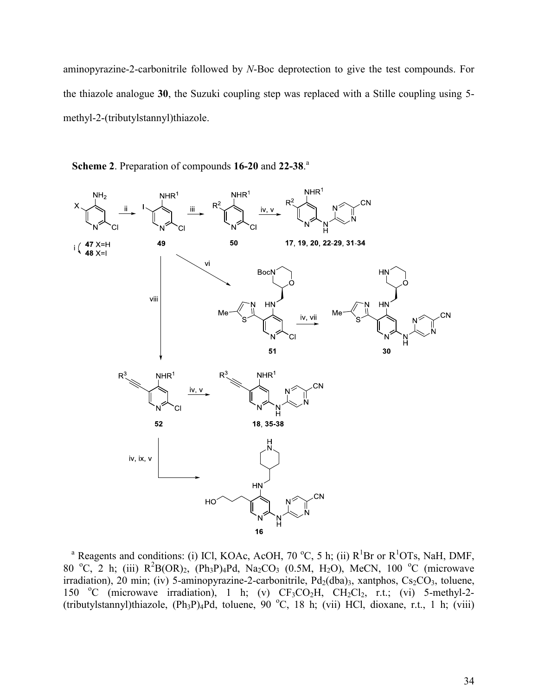aminopyrazine-2-carbonitrile followed by *N*-Boc deprotection to give the test compounds. For the thiazole analogue **30**, the Suzuki coupling step was replaced with a Stille coupling using 5 methyl-2-(tributylstannyl)thiazole.



**Scheme 2**. Preparation of compounds **16-20** and **22-38**. a

<sup>a</sup> Reagents and conditions: (i) ICl, KOAc, AcOH, 70 °C, 5 h; (ii)  $R$ <sup>1</sup>Br or  $R$ <sup>1</sup>OTs, NaH, DMF, 80 °C, 2 h; (iii)  $R^2B(OR)_2$ ,  $(Ph_3P)_4Pd$ ,  $Na_2CO_3$  (0.5M,  $H_2O$ ), MeCN, 100 °C (microwave irradiation), 20 min; (iv) 5-aminopyrazine-2-carbonitrile,  $Pd_2(dba)$ <sub>3</sub>, xantphos,  $Cs_2CO_3$ , toluene, 150 °C (microwave irradiation), 1 h; (v)  $CF_3CO_2H$ ,  $CH_2Cl_2$ , r.t.; (vi) 5-methyl-2-(tributylstannyl)thiazole,  $(Ph_3P)_4Pd$ , toluene, 90 °C, 18 h; (vii) HCl, dioxane, r.t., 1 h; (viii)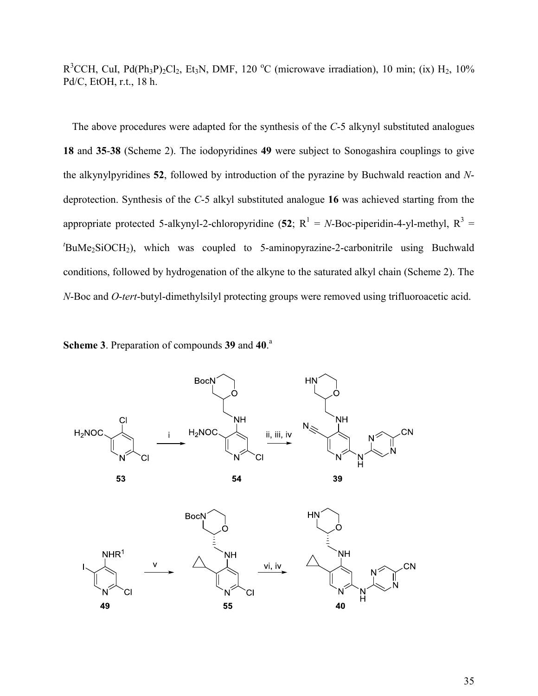$R^3$ CCH, CuI, Pd(Ph<sub>3</sub>P)<sub>2</sub>Cl<sub>2</sub>, Et<sub>3</sub>N, DMF, 120 °C (microwave irradiation), 10 min; (ix) H<sub>2</sub>, 10% Pd/C, EtOH, r.t., 18 h.

The above procedures were adapted for the synthesis of the *C*-5 alkynyl substituted analogues **18** and **35**-**38** (Scheme 2). The iodopyridines **49** were subject to Sonogashira couplings to give the alkynylpyridines **52**, followed by introduction of the pyrazine by Buchwald reaction and *N*deprotection. Synthesis of the *C*-5 alkyl substituted analogue **16** was achieved starting from the appropriate protected 5-alkynyl-2-chloropyridine  $(52; R^1 = N- Boc$ -piperidin-4-yl-methyl,  $R^3 =$  $t_{\text{BuMe}_2\text{SiOCH}_2}$ , which was coupled to 5-aminopyrazine-2-carbonitrile using Buchwald conditions, followed by hydrogenation of the alkyne to the saturated alkyl chain (Scheme 2). The *N*-Boc and *O*-*tert*-butyl-dimethylsilyl protecting groups were removed using trifluoroacetic acid.

**Scheme 3**. Preparation of compounds **39** and **40**. a

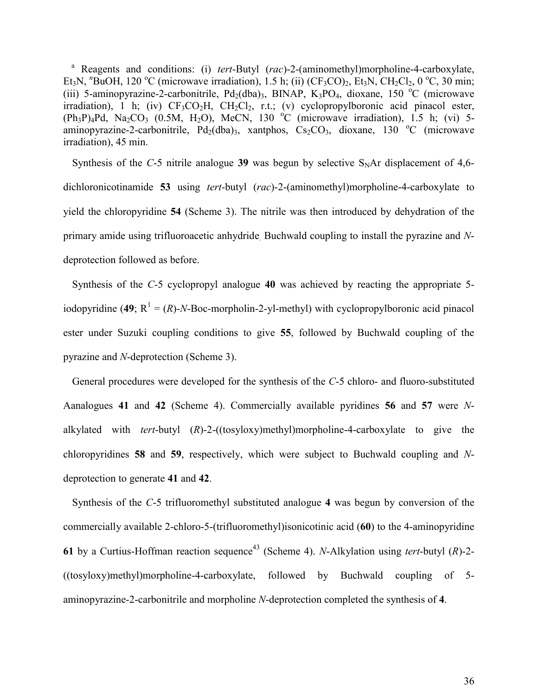<sup>a</sup> Reagents and conditions: (i) *tert*-Butyl (*rac*)-2-(aminomethyl)morpholine-4-carboxylate, Et<sub>3</sub>N, <sup>*n*</sup>BuOH, 120 <sup>o</sup>C (microwave irradiation), 1.5 h; (ii) (CF<sub>3</sub>CO)<sub>2</sub>, Et<sub>3</sub>N, CH<sub>2</sub>Cl<sub>2</sub>, 0 <sup>o</sup>C, 30 min; (iii) 5-aminopyrazine-2-carbonitrile,  $Pd_2(dba)_3$ , BINAP,  $K_3PO_4$ , dioxane, 150 °C (microwave irradiation), 1 h; (iv)  $CF_3CO_2H$ ,  $CH_2Cl_2$ , r.t.; (v) cyclopropylboronic acid pinacol ester,  $(Ph_3P)_4Pd$ , Na<sub>2</sub>CO<sub>3</sub> (0.5M, H<sub>2</sub>O), MeCN, 130 <sup>o</sup>C (microwave irradiation), 1.5 h; (vi) 5aminopyrazine-2-carbonitrile, Pd<sub>2</sub>(dba)<sub>3</sub>, xantphos, Cs<sub>2</sub>CO<sub>3</sub>, dioxane, 130 °C (microwave irradiation), 45 min.

Synthesis of the  $C$ -5 nitrile analogue 39 was begun by selective  $S<sub>N</sub>Ar$  displacement of 4,6dichloronicotinamide **53** using *tert*-butyl (*rac*)-2-(aminomethyl)morpholine-4-carboxylate to yield the chloropyridine **54** (Scheme 3). The nitrile was then introduced by dehydration of the primary amide using trifluoroacetic anhydride. Buchwald coupling to install the pyrazine and *N*deprotection followed as before.

Synthesis of the *C*-5 cyclopropyl analogue **40** was achieved by reacting the appropriate 5 iodopyridine (49;  $R^1 = (R)$ -*N*-Boc-morpholin-2-yl-methyl) with cyclopropylboronic acid pinacol ester under Suzuki coupling conditions to give **55**, followed by Buchwald coupling of the pyrazine and *N*-deprotection (Scheme 3).

General procedures were developed for the synthesis of the *C*-5 chloro- and fluoro-substituted Aanalogues **41** and **42** (Scheme 4). Commercially available pyridines **56** and **57** were *N*alkylated with *tert*-butyl (*R*)-2-((tosyloxy)methyl)morpholine-4-carboxylate to give the chloropyridines **58** and **59**, respectively, which were subject to Buchwald coupling and *N*deprotection to generate **41** and **42**.

Synthesis of the *C*-5 trifluoromethyl substituted analogue **4** was begun by conversion of the commercially available 2-chloro-5-(trifluoromethyl)isonicotinic acid (**60**) to the 4-aminopyridine **61** by a Curtius-Hoffman reaction sequence<sup>43</sup> (Scheme 4). *N*-Alkylation using *tert*-butyl  $(R)$ -2-((tosyloxy)methyl)morpholine-4-carboxylate, followed by Buchwald coupling of 5 aminopyrazine-2-carbonitrile and morpholine *N*-deprotection completed the synthesis of **4**.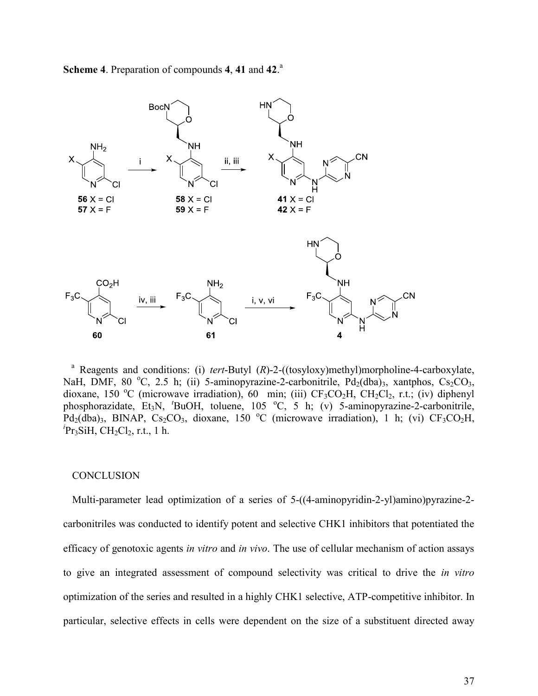



<sup>a</sup> Reagents and conditions: (i) *tert*-Butyl (*R*)-2-((tosyloxy)methyl)morpholine-4-carboxylate, NaH, DMF, 80  $^{\circ}$ C, 2.5 h; (ii) 5-aminopyrazine-2-carbonitrile, Pd<sub>2</sub>(dba)<sub>3</sub>, xantphos, Cs<sub>2</sub>CO<sub>3</sub>, dioxane, 150 °C (microwave irradiation), 60 min; (iii)  $CF<sub>3</sub>CO<sub>2</sub>H$ ,  $CH<sub>2</sub>Cl<sub>2</sub>$ , r.t.; (iv) diphenyl phosphorazidate, Et<sub>3</sub>N, <sup>*t*</sup>BuOH, toluene, 105 °C, 5 h; (v) 5-aminopyrazine-2-carbonitrile, Pd<sub>2</sub>(dba)<sub>3</sub>, BINAP, Cs<sub>2</sub>CO<sub>3</sub>, dioxane, 150 °C (microwave irradiation), 1 h; (vi) CF<sub>3</sub>CO<sub>2</sub>H, <sup>*i*</sup>Pr<sub>3</sub>SiH, CH<sub>2</sub>Cl<sub>2</sub>, r.t., 1 h.

#### CONCLUSION

Multi-parameter lead optimization of a series of 5-((4-aminopyridin-2-yl)amino)pyrazine-2 carbonitriles was conducted to identify potent and selective CHK1 inhibitors that potentiated the efficacy of genotoxic agents *in vitro* and *in vivo*. The use of cellular mechanism of action assays to give an integrated assessment of compound selectivity was critical to drive the *in vitro* optimization of the series and resulted in a highly CHK1 selective, ATP-competitive inhibitor. In particular, selective effects in cells were dependent on the size of a substituent directed away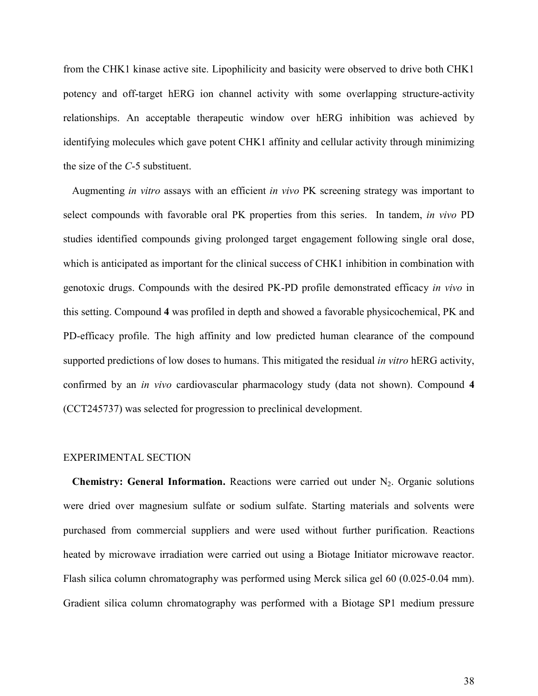from the CHK1 kinase active site. Lipophilicity and basicity were observed to drive both CHK1 potency and off-target hERG ion channel activity with some overlapping structure-activity relationships. An acceptable therapeutic window over hERG inhibition was achieved by identifying molecules which gave potent CHK1 affinity and cellular activity through minimizing the size of the *C*-5 substituent.

Augmenting *in vitro* assays with an efficient *in vivo* PK screening strategy was important to select compounds with favorable oral PK properties from this series. In tandem, *in vivo* PD studies identified compounds giving prolonged target engagement following single oral dose, which is anticipated as important for the clinical success of CHK1 inhibition in combination with genotoxic drugs. Compounds with the desired PK-PD profile demonstrated efficacy *in vivo* in this setting. Compound **4** was profiled in depth and showed a favorable physicochemical, PK and PD-efficacy profile. The high affinity and low predicted human clearance of the compound supported predictions of low doses to humans. This mitigated the residual *in vitro* hERG activity, confirmed by an *in vivo* cardiovascular pharmacology study (data not shown). Compound **4** (CCT245737) was selected for progression to preclinical development.

#### EXPERIMENTAL SECTION

**Chemistry: General Information.** Reactions were carried out under N<sub>2</sub>. Organic solutions were dried over magnesium sulfate or sodium sulfate. Starting materials and solvents were purchased from commercial suppliers and were used without further purification. Reactions heated by microwave irradiation were carried out using a Biotage Initiator microwave reactor. Flash silica column chromatography was performed using Merck silica gel 60 (0.025-0.04 mm). Gradient silica column chromatography was performed with a Biotage SP1 medium pressure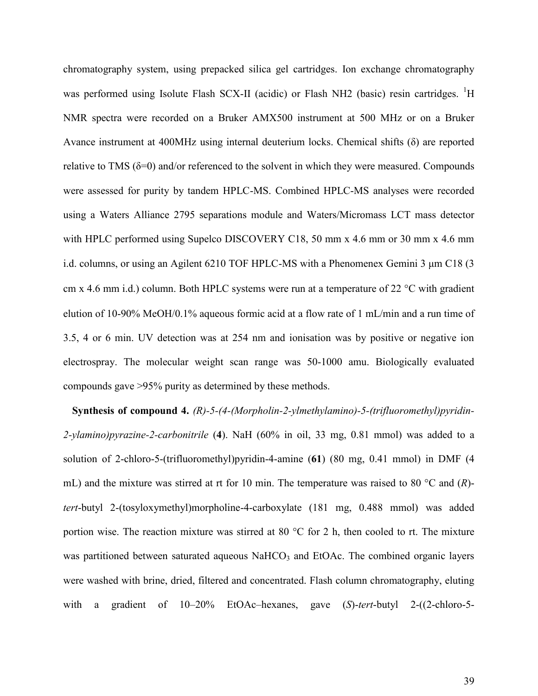chromatography system, using prepacked silica gel cartridges. Ion exchange chromatography was performed using Isolute Flash SCX-II (acidic) or Flash NH2 (basic) resin cartridges. <sup>1</sup>H NMR spectra were recorded on a Bruker AMX500 instrument at 500 MHz or on a Bruker Avance instrument at 400MHz using internal deuterium locks. Chemical shifts  $(\delta)$  are reported relative to TMS ( $\delta$ =0) and/or referenced to the solvent in which they were measured. Compounds were assessed for purity by tandem HPLC-MS. Combined HPLC-MS analyses were recorded using a Waters Alliance 2795 separations module and Waters/Micromass LCT mass detector with HPLC performed using Supelco DISCOVERY C18, 50 mm x 4.6 mm or 30 mm x 4.6 mm i.d. columns, or using an Agilent 6210 TOF HPLC-MS with a Phenomenex Gemini  $3 \mu m C18$  (3) cm x 4.6 mm i.d.) column. Both HPLC systems were run at a temperature of 22  $^{\circ}$ C with gradient elution of 10-90% MeOH/0.1% aqueous formic acid at a flow rate of 1 mL/min and a run time of 3.5, 4 or 6 min. UV detection was at 254 nm and ionisation was by positive or negative ion electrospray. The molecular weight scan range was 50-1000 amu. Biologically evaluated compounds gave >95% purity as determined by these methods.

**Synthesis of compound 4.** *(R)-5-(4-(Morpholin-2-ylmethylamino)-5-(trifluoromethyl)pyridin-2-ylamino)pyrazine-2-carbonitrile* (**4**). NaH (60% in oil, 33 mg, 0.81 mmol) was added to a solution of 2-chloro-5-(trifluoromethyl)pyridin-4-amine (**61**) (80 mg, 0.41 mmol) in DMF (4 mL) and the mixture was stirred at rt for 10 min. The temperature was raised to 80 °C and (*R*) *tert*-butyl 2-(tosyloxymethyl)morpholine-4-carboxylate (181 mg, 0.488 mmol) was added portion wise. The reaction mixture was stirred at 80 °C for 2 h, then cooled to rt. The mixture was partitioned between saturated aqueous  $NaHCO<sub>3</sub>$  and EtOAc. The combined organic layers were washed with brine, dried, filtered and concentrated. Flash column chromatography, eluting with a gradient of 10–20% EtOAc–hexanes, gave (*S*)-*tert*-butyl 2-((2-chloro-5-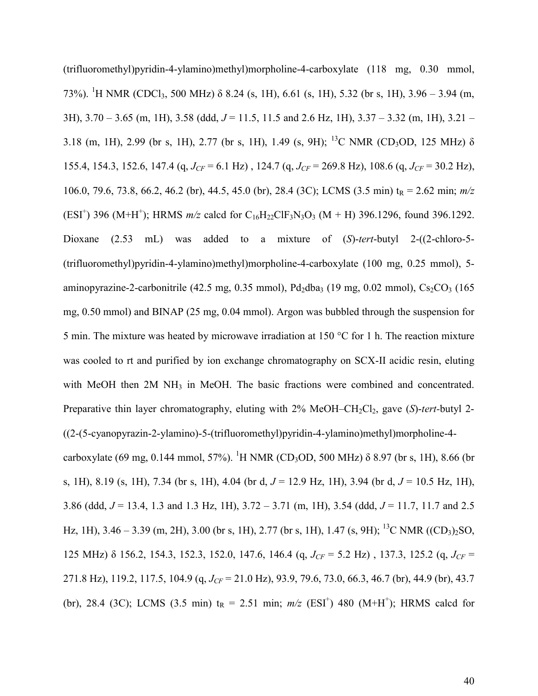(trifluoromethyl)pyridin-4-ylamino)methyl)morpholine-4-carboxylate (118 mg, 0.30 mmol, 73%). <sup>1</sup>H NMR (CDCl<sub>3</sub>, 500 MHz)  $\delta$  8.24 (s, 1H), 6.61 (s, 1H), 5.32 (br s, 1H), 3.96 – 3.94 (m, 3H), 3.70 – 3.65 (m, 1H), 3.58 (ddd, *J* = 11.5, 11.5 and 2.6 Hz, 1H), 3.37 – 3.32 (m, 1H), 3.21 – 3.18 (m, 1H), 2.99 (br s, 1H), 2.77 (br s, 1H), 1.49 (s, 9H); <sup>13</sup>C NMR (CD<sub>3</sub>OD, 125 MHz)  $\delta$ 155.4, 154.3, 152.6, 147.4 (q,  $J_{CF}$  = 6.1 Hz), 124.7 (q,  $J_{CF}$  = 269.8 Hz), 108.6 (q,  $J_{CF}$  = 30.2 Hz), 106.0, 79.6, 73.8, 66.2, 46.2 (br), 44.5, 45.0 (br), 28.4 (3C); LCMS (3.5 min) tR = 2.62 min; *m/z* (ESI<sup>+</sup>) 396 (M+H<sup>+</sup>); HRMS  $m/z$  calcd for C<sub>16</sub>H<sub>22</sub>ClF<sub>3</sub>N<sub>3</sub>O<sub>3</sub> (M + H) 396.1296, found 396.1292. Dioxane (2.53 mL) was added to a mixture of (*S*)-*tert*-butyl 2-((2-chloro-5- (trifluoromethyl)pyridin-4-ylamino)methyl)morpholine-4-carboxylate (100 mg, 0.25 mmol), 5 aminopyrazine-2-carbonitrile (42.5 mg, 0.35 mmol), Pd<sub>2</sub>dba<sub>3</sub> (19 mg, 0.02 mmol), Cs<sub>2</sub>CO<sub>3</sub> (165 mg, 0.50 mmol) and BINAP (25 mg, 0.04 mmol). Argon was bubbled through the suspension for 5 min. The mixture was heated by microwave irradiation at 150 °C for 1 h. The reaction mixture was cooled to rt and purified by ion exchange chromatography on SCX-II acidic resin, eluting with MeOH then 2M NH<sub>3</sub> in MeOH. The basic fractions were combined and concentrated. Preparative thin layer chromatography, eluting with 2% MeOH–CH<sub>2</sub>Cl<sub>2</sub>, gave (*S*)-*tert*-butyl 2-((2-(5-cyanopyrazin-2-ylamino)-5-(trifluoromethyl)pyridin-4-ylamino)methyl)morpholine-4 carboxylate (69 mg, 0.144 mmol, 57%). <sup>1</sup>H NMR (CD<sub>3</sub>OD, 500 MHz)  $\delta$  8.97 (br s, 1H), 8.66 (br s, 1H), 8.19 (s, 1H), 7.34 (br s, 1H), 4.04 (br d, *J* = 12.9 Hz, 1H), 3.94 (br d, *J* = 10.5 Hz, 1H), 3.86 (ddd, *J* = 13.4, 1.3 and 1.3 Hz, 1H), 3.72 – 3.71 (m, 1H), 3.54 (ddd, *J* = 11.7, 11.7 and 2.5 Hz, 1H), 3.46 – 3.39 (m, 2H), 3.00 (br s, 1H), 2.77 (br s, 1H), 1.47 (s, 9H); <sup>13</sup>C NMR ((CD<sub>3</sub>)<sub>2</sub>SO, 125 MHz) h 156.2, 154.3, 152.3, 152.0, 147.6, 146.4 (q, *JCF* = 5.2 Hz) , 137.3, 125.2 (q, *JCF* = 271.8 Hz), 119.2, 117.5, 104.9 (q, *J<sub>CF</sub>* = 21.0 Hz), 93.9, 79.6, 73.0, 66.3, 46.7 (br), 44.9 (br), 43.7 (br), 28.4 (3C); LCMS (3.5 min)  $t_R = 2.51$  min;  $m/z$  (ESI<sup>+</sup>) 480 (M+H<sup>+</sup>); HRMS calcd for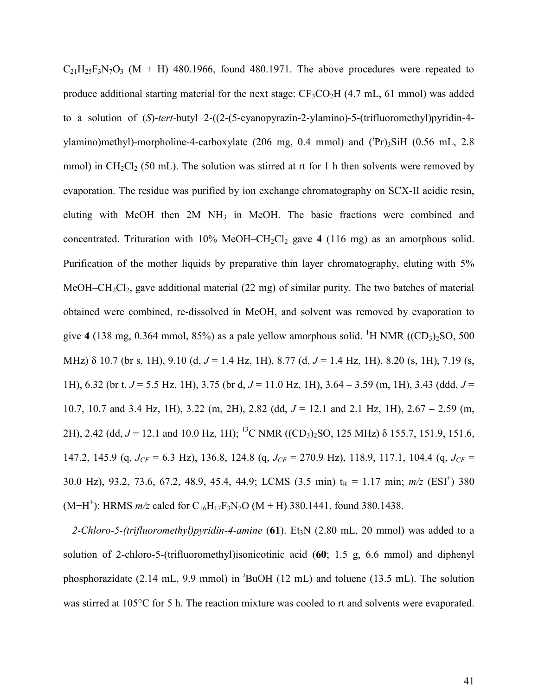$C_{21}H_{25}F_3N_7O_3$  (M + H) 480.1966, found 480.1971. The above procedures were repeated to produce additional starting material for the next stage:  $CF_3CO_2H$  (4.7 mL, 61 mmol) was added to a solution of (*S*)-*tert-*butyl 2-((2-(5-cyanopyrazin-2-ylamino)-5-(trifluoromethyl)pyridin-4 ylamino)methyl)-morpholine-4-carboxylate (206 mg, 0.4 mmol) and (*<sup>i</sup>* Pr)3SiH (0.56 mL, 2.8 mmol) in  $CH_2Cl_2$  (50 mL). The solution was stirred at rt for 1 h then solvents were removed by evaporation. The residue was purified by ion exchange chromatography on SCX-II acidic resin, eluting with MeOH then 2M NH<sub>3</sub> in MeOH. The basic fractions were combined and concentrated. Trituration with  $10\%$  MeOH–CH<sub>2</sub>Cl<sub>2</sub> gave 4 (116 mg) as an amorphous solid. Purification of the mother liquids by preparative thin layer chromatography, eluting with 5% MeOH–CH<sub>2</sub>Cl<sub>2</sub>, gave additional material (22 mg) of similar purity. The two batches of material obtained were combined, re-dissolved in MeOH, and solvent was removed by evaporation to give 4 (138 mg, 0.364 mmol, 85%) as a pale yellow amorphous solid. <sup>1</sup>H NMR ((CD<sub>3</sub>)<sub>2</sub>SO, 500 MHz) δ 10.7 (br s, 1H), 9.10 (d, *J* = 1.4 Hz, 1H), 8.77 (d, *J* = 1.4 Hz, 1H), 8.20 (s, 1H), 7.19 (s, 1H), 6.32 (br t, *J* = 5.5 Hz, 1H), 3.75 (br d, *J* = 11.0 Hz, 1H), 3.64 – 3.59 (m, 1H), 3.43 (ddd, *J* = 10.7, 10.7 and 3.4 Hz, 1H), 3.22 (m, 2H), 2.82 (dd, *J* = 12.1 and 2.1 Hz, 1H), 2.67 – 2.59 (m, 2H), 2.42 (dd,  $J = 12.1$  and 10.0 Hz, 1H); <sup>13</sup>C NMR ((CD<sub>3</sub>)<sub>2</sub>SO, 125 MHz)  $\delta$  155.7, 151.9, 151.6, 147.2, 145.9 (q, *JCF* = 6.3 Hz), 136.8, 124.8 (q, *JCF* = 270.9 Hz), 118.9, 117.1, 104.4 (q, *JCF* = 30.0 Hz), 93.2, 73.6, 67.2, 48.9, 45.4, 44.9; LCMS (3.5 min) t<sub>R</sub> = 1.17 min;  $m/z$  (ESI<sup>+</sup>) 380  $(M+H^+)$ ; HRMS  $m/z$  calcd for C<sub>16</sub>H<sub>17</sub>F<sub>3</sub>N<sub>7</sub>O (M + H) 380.1441, found 380.1438.

2-Chloro-5-(trifluoromethyl)pyridin-4-amine (61). Et<sub>3</sub>N (2.80 mL, 20 mmol) was added to a solution of 2-chloro-5-(trifluoromethyl)isonicotinic acid (**60**; 1.5 g, 6.6 mmol) and diphenyl phosphorazidate (2.14 mL, 9.9 mmol) in *<sup>t</sup>*BuOH (12 mL) and toluene (13.5 mL). The solution was stirred at 105<sup>o</sup>C for 5 h. The reaction mixture was cooled to rt and solvents were evaporated.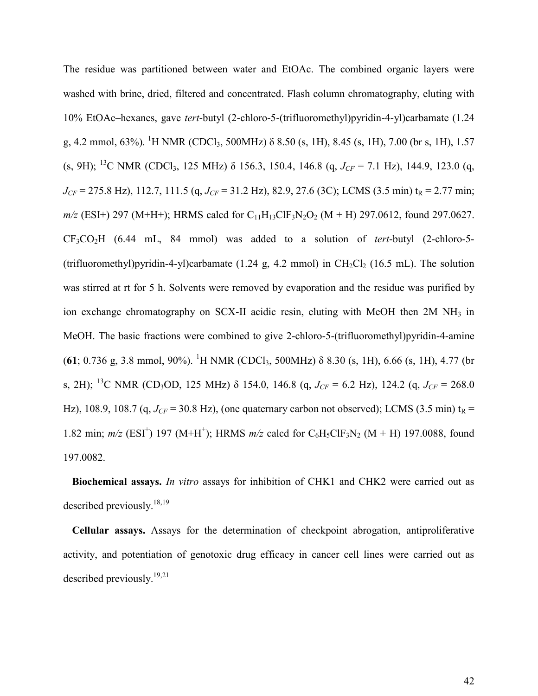The residue was partitioned between water and EtOAc. The combined organic layers were washed with brine, dried, filtered and concentrated. Flash column chromatography, eluting with 10% EtOAc–hexanes, gave *tert*-butyl (2-chloro-5-(trifluoromethyl)pyridin-4-yl)carbamate (1.24 g, 4.2 mmol, 63%). <sup>1</sup>H NMR (CDCl<sub>3</sub>, 500MHz)  $\delta$  8.50 (s, 1H), 8.45 (s, 1H), 7.00 (br s, 1H), 1.57 (s, 9H); <sup>13</sup>C NMR (CDCl<sub>3</sub>, 125 MHz)  $\delta$  156.3, 150.4, 146.8 (q, *J<sub>CF</sub>* = 7.1 Hz), 144.9, 123.0 (q,  $J_{CF}$  = 275.8 Hz), 112.7, 111.5 (q,  $J_{CF}$  = 31.2 Hz), 82.9, 27.6 (3C); LCMS (3.5 min) t<sub>R</sub> = 2.77 min;  $m/z$  (ESI+) 297 (M+H+); HRMS calcd for C<sub>11</sub>H<sub>13</sub>ClF<sub>3</sub>N<sub>2</sub>O<sub>2</sub> (M + H) 297.0612, found 297.0627. CF3CO2H (6.44 mL, 84 mmol) was added to a solution of *tert*-butyl (2-chloro-5- (trifluoromethyl)pyridin-4-yl)carbamate (1.24 g, 4.2 mmol) in  $CH_2Cl_2$  (16.5 mL). The solution was stirred at rt for 5 h. Solvents were removed by evaporation and the residue was purified by ion exchange chromatography on SCX-II acidic resin, eluting with MeOH then 2M NH<sub>3</sub> in MeOH. The basic fractions were combined to give 2-chloro-5-(trifluoromethyl)pyridin-4-amine (**61**; 0.736 g, 3.8 mmol, 90%). <sup>1</sup>H NMR (CDCl<sub>3</sub>, 500MHz)  $\delta$  8.30 (s, 1H), 6.66 (s, 1H), 4.77 (br s, 2H); <sup>13</sup>C NMR (CD<sub>3</sub>OD, 125 MHz)  $\delta$  154.0, 146.8 (q,  $J_{CF} = 6.2$  Hz), 124.2 (q,  $J_{CF} = 268.0$ Hz), 108.9, 108.7 (q,  $J_{CF}$  = 30.8 Hz), (one quaternary carbon not observed); LCMS (3.5 min) t<sub>R</sub> = 1.82 min;  $m/z$  (ESI<sup>+</sup>) 197 (M+H<sup>+</sup>); HRMS  $m/z$  calcd for C<sub>6</sub>H<sub>5</sub>ClF<sub>3</sub>N<sub>2</sub> (M + H) 197.0088, found 197.0082.

**Biochemical assays.** *In vitro* assays for inhibition of CHK1 and CHK2 were carried out as described previously.<sup>18,19</sup>

**Cellular assays.** Assays for the determination of checkpoint abrogation, antiproliferative activity, and potentiation of genotoxic drug efficacy in cancer cell lines were carried out as described previously.<sup>19,21</sup>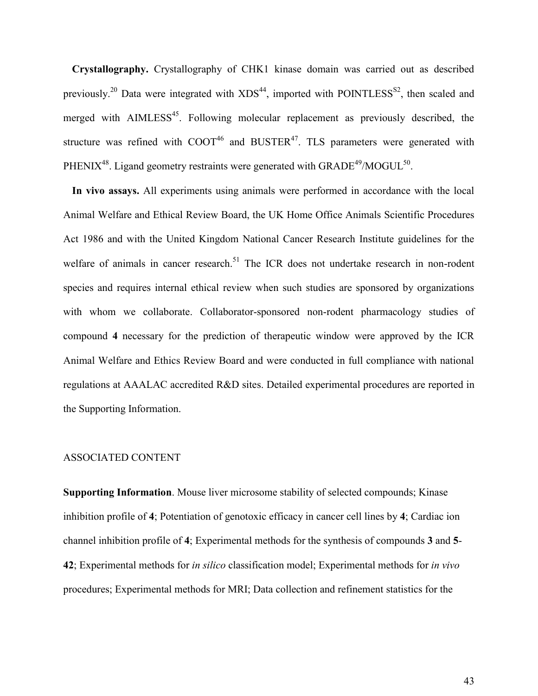**Crystallography.** Crystallography of CHK1 kinase domain was carried out as described previously.<sup>20</sup> Data were integrated with  $XDS^{44}$ , imported with POINTLESS<sup>S2</sup>, then scaled and merged with  $\text{AIMLESS}^{45}$ . Following molecular replacement as previously described, the structure was refined with  $COOT^{46}$  and  $BUSTER^{47}$ . TLS parameters were generated with PHENIX<sup>48</sup>. Ligand geometry restraints were generated with GRADE<sup>49</sup>/MOGUL<sup>50</sup>.

**In vivo assays.** All experiments using animals were performed in accordance with the local Animal Welfare and Ethical Review Board, the UK Home Office Animals Scientific Procedures Act 1986 and with the United Kingdom National Cancer Research Institute guidelines for the welfare of animals in cancer research.<sup>51</sup> The ICR does not undertake research in non-rodent species and requires internal ethical review when such studies are sponsored by organizations with whom we collaborate. Collaborator-sponsored non-rodent pharmacology studies of compound **4** necessary for the prediction of therapeutic window were approved by the ICR Animal Welfare and Ethics Review Board and were conducted in full compliance with national regulations at AAALAC accredited R&D sites. Detailed experimental procedures are reported in the Supporting Information.

#### ASSOCIATED CONTENT

**Supporting Information**. Mouse liver microsome stability of selected compounds; Kinase inhibition profile of **4**; Potentiation of genotoxic efficacy in cancer cell lines by **4**; Cardiac ion channel inhibition profile of **4**; Experimental methods for the synthesis of compounds **3** and **5**- **42**; Experimental methods for *in silico* classification model; Experimental methods for *in vivo* procedures; Experimental methods for MRI; Data collection and refinement statistics for the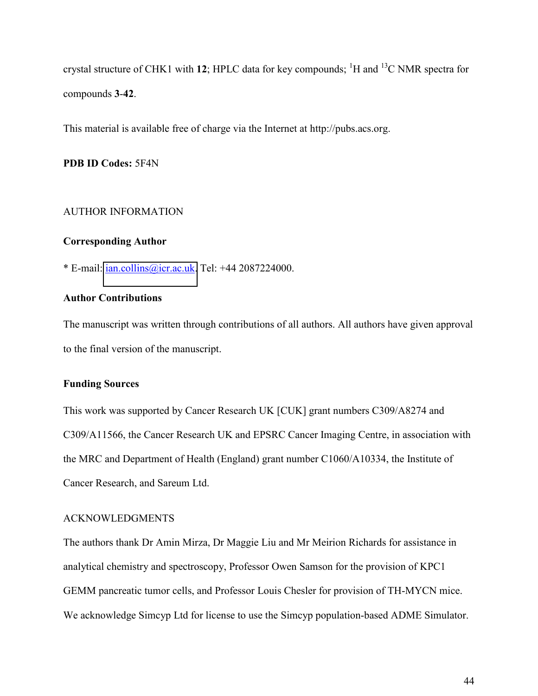crystal structure of CHK1 with 12; HPLC data for key compounds; <sup>1</sup>H and <sup>13</sup>C NMR spectra for compounds **3**-**42**.

This material is available free of charge via the Internet at http://pubs.acs.org.

**PDB ID Codes:** 5F4N

#### AUTHOR INFORMATION

#### **Corresponding Author**

\* E-mail: [ian.collins@icr.ac.uk.](mailto:ian.collins@icr.ac.uk) Tel: +44 2087224000.

#### **Author Contributions**

The manuscript was written through contributions of all authors. All authors have given approval to the final version of the manuscript.

#### **Funding Sources**

This work was supported by Cancer Research UK [CUK] grant numbers C309/A8274 and C309/A11566, the Cancer Research UK and EPSRC Cancer Imaging Centre, in association with the MRC and Department of Health (England) grant number C1060/A10334, the Institute of Cancer Research, and Sareum Ltd.

#### ACKNOWLEDGMENTS

The authors thank Dr Amin Mirza, Dr Maggie Liu and Mr Meirion Richards for assistance in analytical chemistry and spectroscopy, Professor Owen Samson for the provision of KPC1 GEMM pancreatic tumor cells, and Professor Louis Chesler for provision of TH-MYCN mice. We acknowledge Simcyp Ltd for license to use the Simcyp population-based ADME Simulator.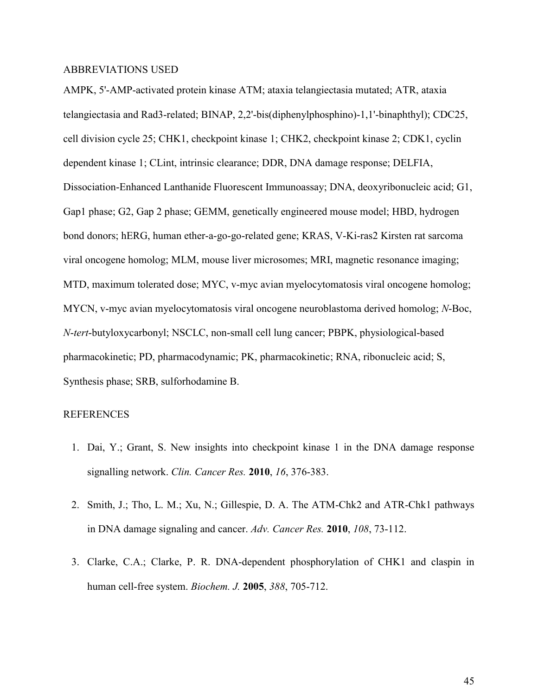#### ABBREVIATIONS USED

AMPK, 5'-AMP-activated protein kinase ATM; ataxia telangiectasia mutated; ATR, ataxia telangiectasia and Rad3-related; BINAP, 2,2'-bis(diphenylphosphino)-1,1'-binaphthyl); CDC25, cell division cycle 25; CHK1, checkpoint kinase 1; CHK2, checkpoint kinase 2; CDK1, cyclin dependent kinase 1; CLint, intrinsic clearance; DDR, DNA damage response; DELFIA, Dissociation-Enhanced Lanthanide Fluorescent Immunoassay; DNA, deoxyribonucleic acid; G1, Gap1 phase; G2, Gap 2 phase; GEMM, genetically engineered mouse model; HBD, hydrogen bond donors; hERG, human ether-a-go-go-related gene; KRAS, V-Ki-ras2 Kirsten rat sarcoma viral oncogene homolog; MLM, mouse liver microsomes; MRI, magnetic resonance imaging; MTD, maximum tolerated dose; MYC, v-myc avian myelocytomatosis viral oncogene homolog; MYCN, v-myc avian myelocytomatosis viral oncogene neuroblastoma derived homolog; *N*-Boc, *N*-*tert*-butyloxycarbonyl; NSCLC, non-small cell lung cancer; PBPK, physiological-based pharmacokinetic; PD, pharmacodynamic; PK, pharmacokinetic; RNA, ribonucleic acid; S, Synthesis phase; SRB, sulforhodamine B.

#### REFERENCES

- 1. Dai, Y.; Grant, S. New insights into checkpoint kinase 1 in the DNA damage response signalling network. *Clin. Cancer Res.* **2010**, *16*, 376-383.
- 2. Smith, J.; Tho, L. M.; Xu, N.; Gillespie, D. A. The ATM-Chk2 and ATR-Chk1 pathways in DNA damage signaling and cancer. *Adv. Cancer Res.* **2010**, *108*, 73-112.
- 3. Clarke, C.A.; Clarke, P. R. DNA-dependent phosphorylation of CHK1 and claspin in human cell-free system. *Biochem. J.* **2005**, *388*, 705-712.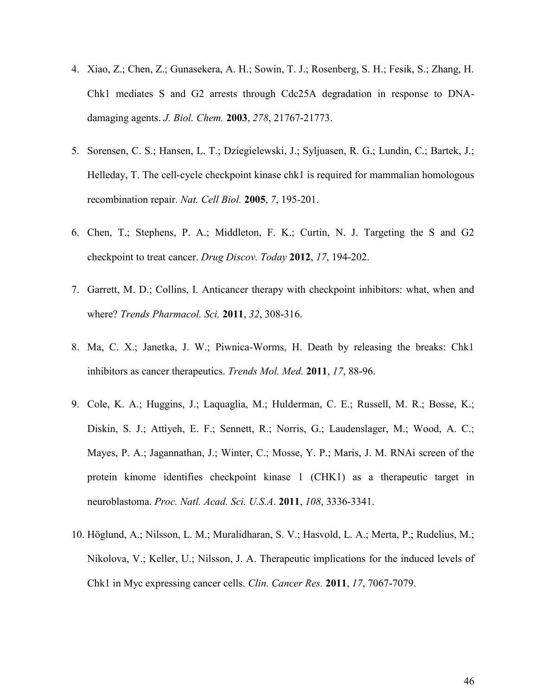- 4. Xiao, Z.; Chen, Z.; Gunasekera, A. H.; Sowin, T. J.; Rosenberg, S. H.; Fesik, S.; Zhang, H. Chk1 mediates S and G2 arrests through Cdc25A degradation in response to DNAdamaging agents. *J. Biol. Chem.* **2003**, *278*, 21767-21773.
- 5. Sorensen, C. S.; Hansen, L. T.; Dziegielewski, J.; Syljuasen, R. G.; Lundin, C.; Bartek, J.; Helleday, T. The cell-cycle checkpoint kinase chk1 is required for mammalian homologous recombination repair. *Nat. Cell Biol.* **2005**, *7*, 195-201.
- 6. Chen, T.; Stephens, P. A.; Middleton, F. K.; Curtin, N. J. Targeting the S and G2 checkpoint to treat cancer. *Drug Discov. Today* **2012**, *17*, 194-202.
- 7. Garrett, M. D.; Collins, I. Anticancer therapy with checkpoint inhibitors: what, when and where? *Trends Pharmacol. Sci.* **2011**, *32*, 308-316.
- 8. Ma, C. X.; Janetka, J. W.; Piwnica-Worms, H. Death by releasing the breaks: Chk1 inhibitors as cancer therapeutics. *Trends Mol. Med.* **2011**, *17*, 88-96.
- 9. Cole, K. A.; Huggins, J.; Laquaglia, M.; Hulderman, C. E.; Russell, M. R.; Bosse, K.; Diskin, S. J.; Attiyeh, E. F.; Sennett, R.; Norris, G.; Laudenslager, M.; Wood, A. C.; Mayes, P. A.; Jagannathan, J.; Winter, C.; Mosse, Y. P.; Maris, J. M. RNAi screen of the protein kinome identifies checkpoint kinase 1 (CHK1) as a therapeutic target in neuroblastoma. *Proc. Natl. Acad. Sci. U.S.A*. **2011**, *108*, 3336-3341.
- 10. Höglund, A.; Nilsson, L. M.; Muralidharan, S. V.; Hasvold, L. A.; Merta, P.; Rudelius, M.; Nikolova, V.; Keller, U.; Nilsson, J. A. Therapeutic implications for the induced levels of Chk1 in Myc expressing cancer cells. *Clin. Cancer Res.* **2011**, *17*, 7067-7079.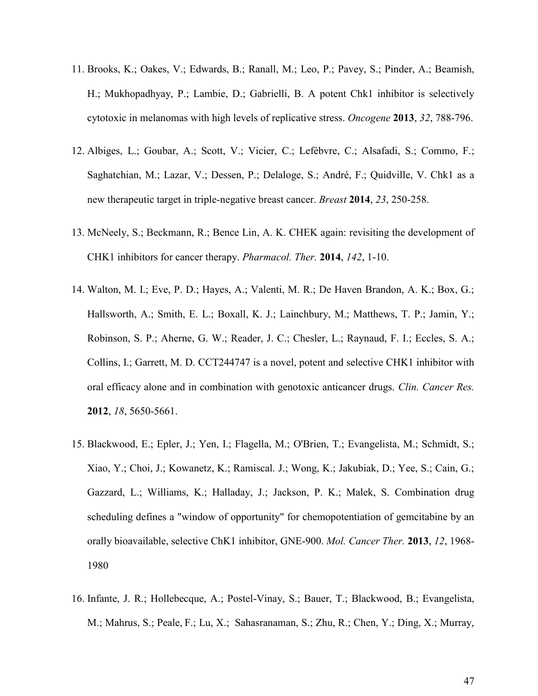- 11. Brooks, K.; Oakes, V.; Edwards, B.; Ranall, M.; Leo, P.; Pavey, S.; Pinder, A.; Beamish, H.; Mukhopadhyay, P.; Lambie, D.; Gabrielli, B. A potent Chk1 inhibitor is selectively cytotoxic in melanomas with high levels of replicative stress. *Oncogene* **2013**, *32*, 788-796.
- 12. Albiges, L.; Goubar, A.; Scott, V.; Vicier, C.; LefËbvre, C.; Alsafadi, S.; Commo, F.; Saghatchian, M.; Lazar, V.; Dessen, P.; Delaloge, S.; André, F.; Quidville, V. Chk1 as a new therapeutic target in triple-negative breast cancer. *Breast* **2014**, *23*, 250-258.
- 13. McNeely, S.; Beckmann, R.; Bence Lin, A. K. CHEK again: revisiting the development of CHK1 inhibitors for cancer therapy. *Pharmacol. Ther.* **2014**, *142*, 1-10.
- 14. Walton, M. I.; Eve, P. D.; Hayes, A.; Valenti, M. R.; De Haven Brandon, A. K.; Box, G.; Hallsworth, A.; Smith, E. L.; Boxall, K. J.; Lainchbury, M.; Matthews, T. P.; Jamin, Y.; Robinson, S. P.; Aherne, G. W.; Reader, J. C.; Chesler, L.; Raynaud, F. I.; Eccles, S. A.; Collins, I.; Garrett, M. D. CCT244747 is a novel, potent and selective CHK1 inhibitor with oral efficacy alone and in combination with genotoxic anticancer drugs. *Clin. Cancer Res.* **2012**, *18*, 5650-5661.
- 15. Blackwood, E.; Epler, J.; Yen, I.; Flagella, M.; O'Brien, T.; Evangelista, M.; Schmidt, S.; Xiao, Y.; Choi, J.; Kowanetz, K.; Ramiscal. J.; Wong, K.; Jakubiak, D.; Yee, S.; Cain, G.; Gazzard, L.; Williams, K.; Halladay, J.; Jackson, P. K.; Malek, S. Combination drug scheduling defines a "window of opportunity" for chemopotentiation of gemcitabine by an orally bioavailable, selective ChK1 inhibitor, GNE-900. *Mol. Cancer Ther.* **2013**, *12*, 1968- 1980
- 16. Infante, J. R.; Hollebecque, A.; Postel-Vinay, S.; Bauer, T.; Blackwood, B.; Evangelista, M.; Mahrus, S.; Peale, F.; Lu, X.; Sahasranaman, S.; Zhu, R.; Chen, Y.; Ding, X.; Murray,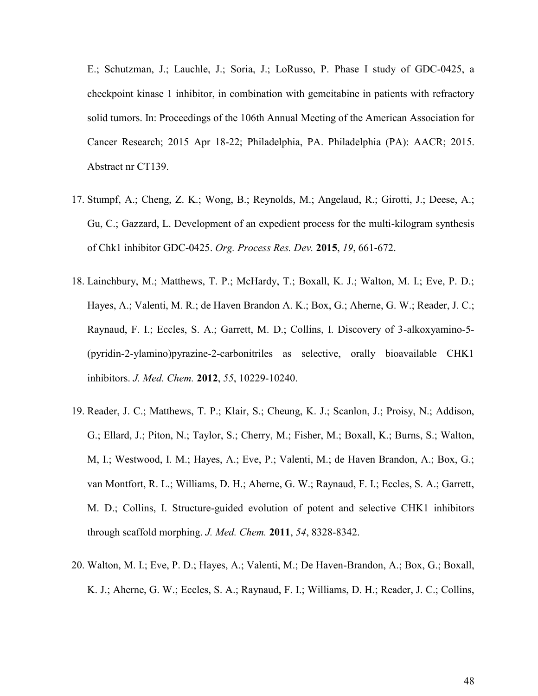E.; Schutzman, J.; Lauchle, J.; Soria, J.; LoRusso, P. Phase I study of GDC-0425, a checkpoint kinase 1 inhibitor, in combination with gemcitabine in patients with refractory solid tumors. In: Proceedings of the 106th Annual Meeting of the American Association for Cancer Research; 2015 Apr 18-22; Philadelphia, PA. Philadelphia (PA): AACR; 2015. Abstract nr CT139.

- 17. Stumpf, A.; Cheng, Z. K.; Wong, B.; Reynolds, M.; Angelaud, R.; Girotti, J.; Deese, A.; Gu, C.; Gazzard, L. Development of an expedient process for the multi-kilogram synthesis of Chk1 inhibitor GDC-0425. *Org. Process Res. Dev.* **2015**, *19*, 661-672.
- 18. Lainchbury, M.; Matthews, T. P.; McHardy, T.; Boxall, K. J.; Walton, M. I.; Eve, P. D.; Hayes, A.; Valenti, M. R.; de Haven Brandon A. K.; Box, G.; Aherne, G. W.; Reader, J. C.; Raynaud, F. I.; Eccles, S. A.; Garrett, M. D.; Collins, I. Discovery of 3-alkoxyamino-5- (pyridin-2-ylamino)pyrazine-2-carbonitriles as selective, orally bioavailable CHK1 inhibitors. *J. Med. Chem.* **2012**, *55*, 10229-10240.
- 19. Reader, J. C.; Matthews, T. P.; Klair, S.; Cheung, K. J.; Scanlon, J.; Proisy, N.; Addison, G.; Ellard, J.; Piton, N.; Taylor, S.; Cherry, M.; Fisher, M.; Boxall, K.; Burns, S.; Walton, M, I.; Westwood, I. M.; Hayes, A.; Eve, P.; Valenti, M.; de Haven Brandon, A.; Box, G.; van Montfort, R. L.; Williams, D. H.; Aherne, G. W.; Raynaud, F. I.; Eccles, S. A.; Garrett, M. D.; Collins, I. Structure-guided evolution of potent and selective CHK1 inhibitors through scaffold morphing. *J. Med. Chem.* **2011**, *54*, 8328-8342.
- 20. Walton, M. I.; Eve, P. D.; Hayes, A.; Valenti, M.; De Haven-Brandon, A.; Box, G.; Boxall, K. J.; Aherne, G. W.; Eccles, S. A.; Raynaud, F. I.; Williams, D. H.; Reader, J. C.; Collins,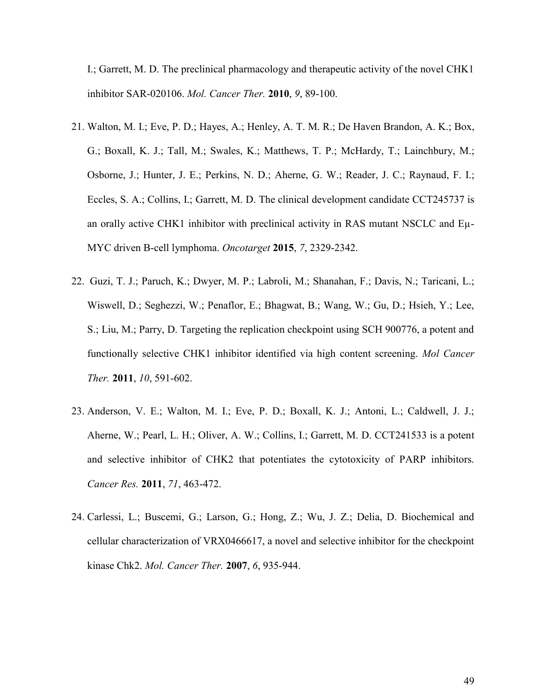I.; Garrett, M. D. The preclinical pharmacology and therapeutic activity of the novel CHK1 inhibitor SAR-020106. *Mol. Cancer Ther.* **2010**, *9*, 89-100.

- 21. Walton, M. I.; Eve, P. D.; Hayes, A.; Henley, A. T. M. R.; De Haven Brandon, A. K.; Box, G.; Boxall, K. J.; Tall, M.; Swales, K.; Matthews, T. P.; McHardy, T.; Lainchbury, M.; Osborne, J.; Hunter, J. E.; Perkins, N. D.; Aherne, G. W.; Reader, J. C.; Raynaud, F. I.; Eccles, S. A.; Collins, I.; Garrett, M. D. The clinical development candidate CCT245737 is an orally active CHK1 inhibitor with preclinical activity in RAS mutant NSCLC and Eµ-MYC driven B-cell lymphoma. *Oncotarget* **2015**, *7*, 2329-2342.
- 22. Guzi, T. J.; Paruch, K.; Dwyer, M. P.; Labroli, M.; Shanahan, F.; Davis, N.; Taricani, L.; Wiswell, D.; Seghezzi, W.; Penaflor, E.; Bhagwat, B.; Wang, W.; Gu, D.; Hsieh, Y.; Lee, S.; Liu, M.; Parry, D. Targeting the replication checkpoint using SCH 900776, a potent and functionally selective CHK1 inhibitor identified via high content screening. *Mol Cancer Ther.* **2011**, *10*, 591-602.
- 23. Anderson, V. E.; Walton, M. I.; Eve, P. D.; Boxall, K. J.; Antoni, L.; Caldwell, J. J.; Aherne, W.; Pearl, L. H.; Oliver, A. W.; Collins, I.; Garrett, M. D. CCT241533 is a potent and selective inhibitor of CHK2 that potentiates the cytotoxicity of PARP inhibitors. *Cancer Res.* **2011**, *71*, 463-472.
- 24. Carlessi, L.; Buscemi, G.; Larson, G.; Hong, Z.; Wu, J. Z.; Delia, D. Biochemical and cellular characterization of VRX0466617, a novel and selective inhibitor for the checkpoint kinase Chk2. *Mol. Cancer Ther.* **2007**, *6*, 935-944.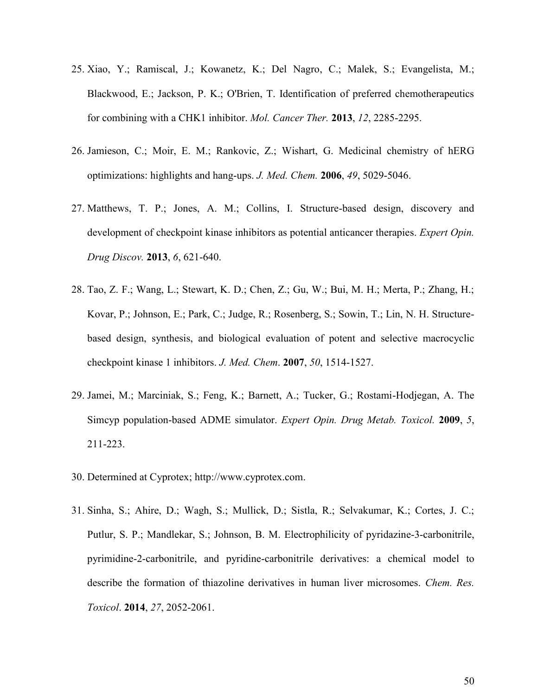- 25. Xiao, Y.; Ramiscal, J.; Kowanetz, K.; Del Nagro, C.; Malek, S.; Evangelista, M.; Blackwood, E.; Jackson, P. K.; O'Brien, T. Identification of preferred chemotherapeutics for combining with a CHK1 inhibitor. *Mol. Cancer Ther.* **2013**, *12*, 2285-2295.
- 26. Jamieson, C.; Moir, E. M.; Rankovic, Z.; Wishart, G. Medicinal chemistry of hERG optimizations: highlights and hang-ups. *J. Med. Chem.* **2006**, *49*, 5029-5046.
- 27. Matthews, T. P.; Jones, A. M.; Collins, I. Structure-based design, discovery and development of checkpoint kinase inhibitors as potential anticancer therapies. *Expert Opin. Drug Discov.* **2013**, *6*, 621-640.
- 28. Tao, Z. F.; Wang, L.; Stewart, K. D.; Chen, Z.; Gu, W.; Bui, M. H.; Merta, P.; Zhang, H.; Kovar, P.; Johnson, E.; Park, C.; Judge, R.; Rosenberg, S.; Sowin, T.; Lin, N. H. Structurebased design, synthesis, and biological evaluation of potent and selective macrocyclic checkpoint kinase 1 inhibitors. *J. Med. Chem*. **2007**, *50*, 1514-1527.
- 29. Jamei, M.; Marciniak, S.; Feng, K.; Barnett, A.; Tucker, G.; Rostami-Hodjegan, A. The Simcyp population-based ADME simulator. *Expert Opin. Drug Metab. Toxicol.* **2009**, *5*, 211-223.
- 30. Determined at Cyprotex; http://www.cyprotex.com.
- 31. Sinha, S.; Ahire, D.; Wagh, S.; Mullick, D.; Sistla, R.; Selvakumar, K.; Cortes, J. C.; Putlur, S. P.; Mandlekar, S.; Johnson, B. M. Electrophilicity of pyridazine-3-carbonitrile, pyrimidine-2-carbonitrile, and pyridine-carbonitrile derivatives: a chemical model to describe the formation of thiazoline derivatives in human liver microsomes. *Chem. Res. Toxicol*. **2014**, *27*, 2052-2061.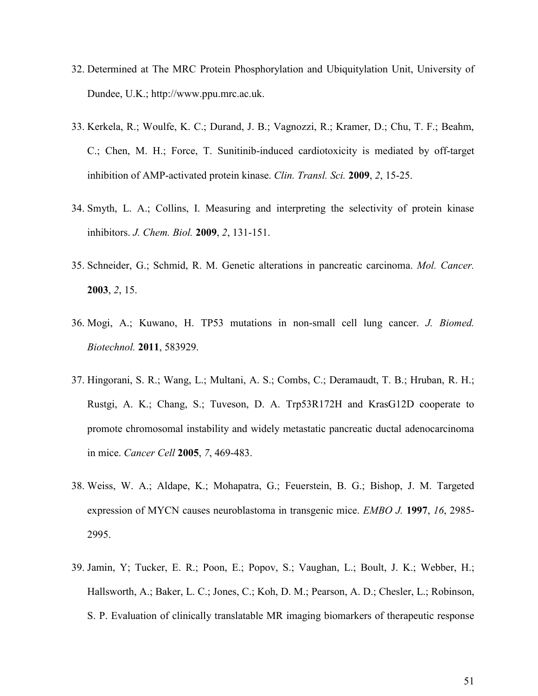- 32. Determined at The MRC Protein Phosphorylation and Ubiquitylation Unit, University of Dundee, U.K.; http://www.ppu.mrc.ac.uk.
- 33. Kerkela, R.; Woulfe, K. C.; Durand, J. B.; Vagnozzi, R.; Kramer, D.; Chu, T. F.; Beahm, C.; Chen, M. H.; Force, T. Sunitinib-induced cardiotoxicity is mediated by off-target inhibition of AMP-activated protein kinase. *Clin. Transl. Sci.* **2009**, *2*, 15-25.
- 34. Smyth, L. A.; Collins, I. Measuring and interpreting the selectivity of protein kinase inhibitors. *J. Chem. Biol.* **2009**, *2*, 131-151.
- 35. Schneider, G.; Schmid, R. M. Genetic alterations in pancreatic carcinoma. *Mol. Cancer.* **2003**, *2*, 15.
- 36. Mogi, A.; Kuwano, H. TP53 mutations in non-small cell lung cancer. *J. Biomed. Biotechnol.* **2011**, 583929.
- 37. Hingorani, S. R.; Wang, L.; Multani, A. S.; Combs, C.; Deramaudt, T. B.; Hruban, R. H.; Rustgi, A. K.; Chang, S.; Tuveson, D. A. Trp53R172H and KrasG12D cooperate to promote chromosomal instability and widely metastatic pancreatic ductal adenocarcinoma in mice. *Cancer Cell* **2005**, *7*, 469-483.
- 38. Weiss, W. A.; Aldape, K.; Mohapatra, G.; Feuerstein, B. G.; Bishop, J. M. Targeted expression of MYCN causes neuroblastoma in transgenic mice. *EMBO J.* **1997**, *16*, 2985- 2995.
- 39. Jamin, Y; Tucker, E. R.; Poon, E.; Popov, S.; Vaughan, L.; Boult, J. K.; Webber, H.; Hallsworth, A.; Baker, L. C.; Jones, C.; Koh, D. M.; Pearson, A. D.; Chesler, L.; Robinson, S. P. Evaluation of clinically translatable MR imaging biomarkers of therapeutic response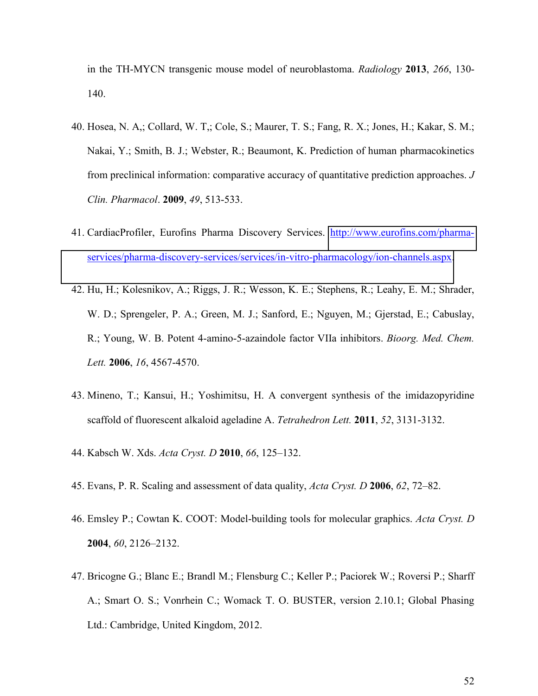in the TH-MYCN transgenic mouse model of neuroblastoma. *Radiology* **2013**, *266*, 130- 140.

- 40. Hosea, N. A,; Collard, W. T,; Cole, S.; Maurer, T. S.; Fang, R. X.; Jones, H.; Kakar, S. M.; Nakai, Y.; Smith, B. J.; Webster, R.; Beaumont, K. Prediction of human pharmacokinetics from preclinical information: comparative accuracy of quantitative prediction approaches. *J Clin. Pharmacol*. **2009**, *49*, 513-533.
- 41. CardiacProfiler, Eurofins Pharma Discovery Services. [http://www.eurofins.com/pharma](http://www.eurofins.com/pharma-services/pharma-discovery-services/services/in-vitro-pharmacology/ion-channels.aspx)[services/pharma-discovery-services/services/in-vitro-pharmacology/ion-channels.aspx.](http://www.eurofins.com/pharma-services/pharma-discovery-services/services/in-vitro-pharmacology/ion-channels.aspx)
- 42. Hu, H.; Kolesnikov, A.; Riggs, J. R.; Wesson, K. E.; Stephens, R.; Leahy, E. M.; Shrader, W. D.; Sprengeler, P. A.; Green, M. J.; Sanford, E.; Nguyen, M.; Gjerstad, E.; Cabuslay, R.; Young, W. B. Potent 4-amino-5-azaindole factor VIIa inhibitors. *Bioorg. Med. Chem. Lett.* **2006**, *16*, 4567-4570.
- 43. Mineno, T.; Kansui, H.; Yoshimitsu, H. A convergent synthesis of the imidazopyridine scaffold of fluorescent alkaloid ageladine A. *Tetrahedron Lett.* **2011**, *52*, 3131-3132.
- 44. Kabsch W. Xds. *Acta Cryst. D* **2010**, *66*, 125–132.
- 45. Evans, P. R. Scaling and assessment of data quality, *Acta Cryst. D* **2006**, *62*, 72–82.
- 46. Emsley P.; Cowtan K. COOT: Model-building tools for molecular graphics. *Acta Cryst. D* **2004**, *60*, 2126–2132.
- 47. Bricogne G.; Blanc E.; Brandl M.; Flensburg C.; Keller P.; Paciorek W.; Roversi P.; Sharff A.; Smart O. S.; Vonrhein C.; Womack T. O. BUSTER, version 2.10.1; Global Phasing Ltd.: Cambridge, United Kingdom, 2012.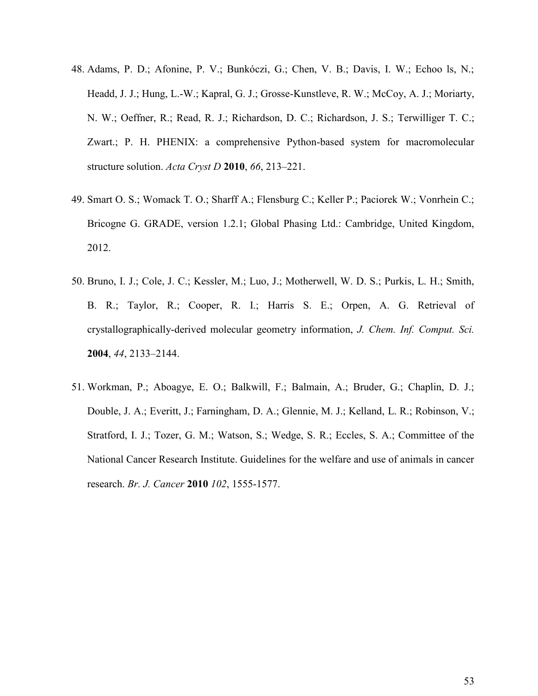- 48. Adams, P. D.; Afonine, P. V.; Bunkóczi, G.; Chen, V. B.; Davis, I. W.; Echoo ls, N.; Headd, J. J.; Hung, L.-W.; Kapral, G. J.; Grosse-Kunstleve, R. W.; McCoy, A. J.; Moriarty, N. W.; Oeffner, R.; Read, R. J.; Richardson, D. C.; Richardson, J. S.; Terwilliger T. C.; Zwart.; P. H. PHENIX: a comprehensive Python-based system for macromolecular structure solution. *Acta Cryst D* **2010**, *66*, 213–221.
- 49. Smart O. S.; Womack T. O.; Sharff A.; Flensburg C.; Keller P.; Paciorek W.; Vonrhein C.; Bricogne G. GRADE, version 1.2.1; Global Phasing Ltd.: Cambridge, United Kingdom, 2012.
- 50. Bruno, I. J.; Cole, J. C.; Kessler, M.; Luo, J.; Motherwell, W. D. S.; Purkis, L. H.; Smith, B. R.; Taylor, R.; Cooper, R. I.; Harris S. E.; Orpen, A. G. Retrieval of crystallographically-derived molecular geometry information, *J. Chem. Inf. Comput. Sci.* **2004**, *44*, 2133–2144.
- 51. Workman, P.; Aboagye, E. O.; Balkwill, F.; Balmain, A.; Bruder, G.; Chaplin, D. J.; Double, J. A.; Everitt, J.; Farningham, D. A.; Glennie, M. J.; Kelland, L. R.; Robinson, V.; Stratford, I. J.; Tozer, G. M.; Watson, S.; Wedge, S. R.; Eccles, S. A.; Committee of the National Cancer Research Institute. Guidelines for the welfare and use of animals in cancer research. *Br. J. Cancer* **2010** *102*, 1555-1577.